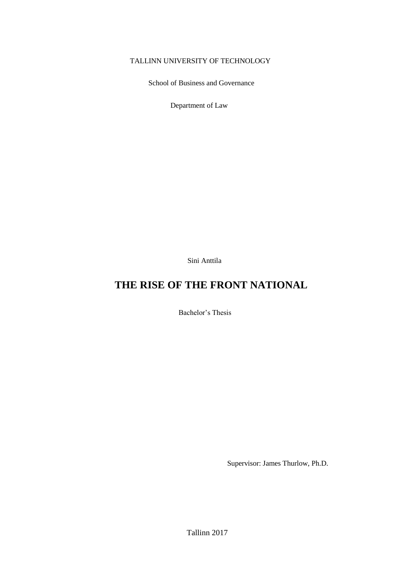#### TALLINN UNIVERSITY OF TECHNOLOGY

School of Business and Governance

Department of Law

Sini Anttila

## **THE RISE OF THE FRONT NATIONAL**

Bachelor's Thesis

Supervisor: James Thurlow, Ph.D.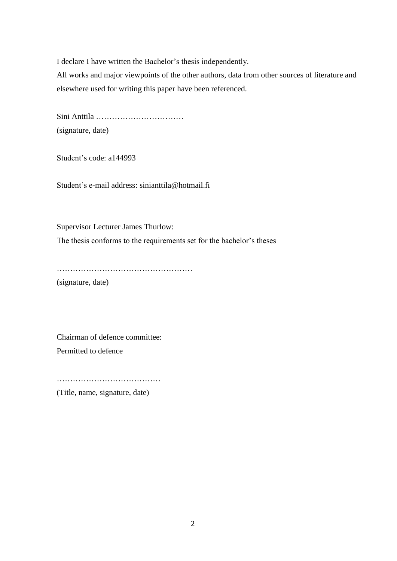I declare I have written the Bachelor's thesis independently.

All works and major viewpoints of the other authors, data from other sources of literature and elsewhere used for writing this paper have been referenced.

Sini Anttila …………………………… (signature, date)

Student's code: a144993

Student's e-mail address: sinianttila@hotmail.fi

Supervisor Lecturer James Thurlow: The thesis conforms to the requirements set for the bachelor's theses

……………………………………………

(signature, date)

Chairman of defence committee: Permitted to defence

…………………………………

(Title, name, signature, date)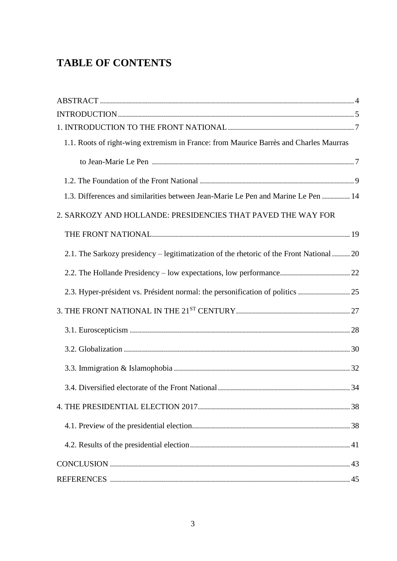## **TABLE OF CONTENTS**

| 1.1. Roots of right-wing extremism in France: from Maurice Barrès and Charles Maurras    |
|------------------------------------------------------------------------------------------|
|                                                                                          |
|                                                                                          |
| 1.3. Differences and similarities between Jean-Marie Le Pen and Marine Le Pen  14        |
| 2. SARKOZY AND HOLLANDE: PRESIDENCIES THAT PAVED THE WAY FOR                             |
|                                                                                          |
| 2.1. The Sarkozy presidency – legitimatization of the rhetoric of the Front National  20 |
|                                                                                          |
| 2.3. Hyper-président vs. Président normal: the personification of politics 25            |
|                                                                                          |
|                                                                                          |
|                                                                                          |
|                                                                                          |
|                                                                                          |
|                                                                                          |
|                                                                                          |
|                                                                                          |
|                                                                                          |
|                                                                                          |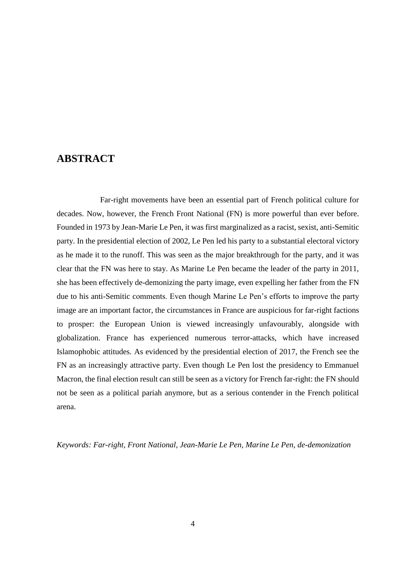### **ABSTRACT**

Far-right movements have been an essential part of French political culture for decades. Now, however, the French Front National (FN) is more powerful than ever before. Founded in 1973 by Jean-Marie Le Pen, it was first marginalized as a racist, sexist, anti-Semitic party. In the presidential election of 2002, Le Pen led his party to a substantial electoral victory as he made it to the runoff. This was seen as the major breakthrough for the party, and it was clear that the FN was here to stay. As Marine Le Pen became the leader of the party in 2011, she has been effectively de-demonizing the party image, even expelling her father from the FN due to his anti-Semitic comments. Even though Marine Le Pen's efforts to improve the party image are an important factor, the circumstances in France are auspicious for far-right factions to prosper: the European Union is viewed increasingly unfavourably, alongside with globalization. France has experienced numerous terror-attacks, which have increased Islamophobic attitudes. As evidenced by the presidential election of 2017, the French see the FN as an increasingly attractive party. Even though Le Pen lost the presidency to Emmanuel Macron, the final election result can still be seen as a victory for French far-right: the FN should not be seen as a political pariah anymore, but as a serious contender in the French political arena.

*Keywords: Far-right, Front National, Jean-Marie Le Pen, Marine Le Pen, de-demonization*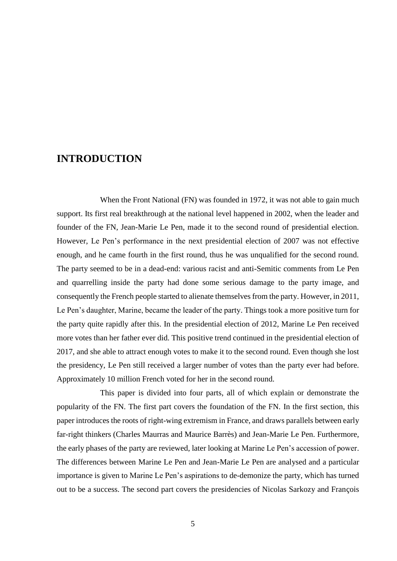### **INTRODUCTION**

When the Front National (FN) was founded in 1972, it was not able to gain much support. Its first real breakthrough at the national level happened in 2002, when the leader and founder of the FN, Jean-Marie Le Pen, made it to the second round of presidential election. However, Le Pen's performance in the next presidential election of 2007 was not effective enough, and he came fourth in the first round, thus he was unqualified for the second round. The party seemed to be in a dead-end: various racist and anti-Semitic comments from Le Pen and quarrelling inside the party had done some serious damage to the party image, and consequently the French people started to alienate themselves from the party. However, in 2011, Le Pen's daughter, Marine, became the leader of the party. Things took a more positive turn for the party quite rapidly after this. In the presidential election of 2012, Marine Le Pen received more votes than her father ever did. This positive trend continued in the presidential election of 2017, and she able to attract enough votes to make it to the second round. Even though she lost the presidency, Le Pen still received a larger number of votes than the party ever had before. Approximately 10 million French voted for her in the second round.

This paper is divided into four parts, all of which explain or demonstrate the popularity of the FN. The first part covers the foundation of the FN. In the first section, this paper introduces the roots of right-wing extremism in France, and draws parallels between early far-right thinkers (Charles Maurras and Maurice Barrès) and Jean-Marie Le Pen. Furthermore, the early phases of the party are reviewed, later looking at Marine Le Pen's accession of power. The differences between Marine Le Pen and Jean-Marie Le Pen are analysed and a particular importance is given to Marine Le Pen's aspirations to de-demonize the party, which has turned out to be a success. The second part covers the presidencies of Nicolas Sarkozy and François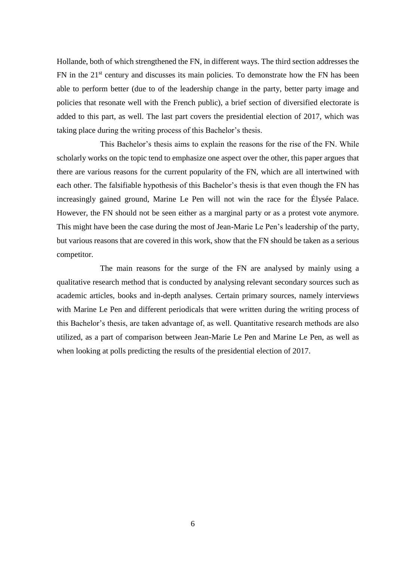Hollande, both of which strengthened the FN, in different ways. The third section addresses the FN in the 21<sup>st</sup> century and discusses its main policies. To demonstrate how the FN has been able to perform better (due to of the leadership change in the party, better party image and policies that resonate well with the French public), a brief section of diversified electorate is added to this part, as well. The last part covers the presidential election of 2017, which was taking place during the writing process of this Bachelor's thesis.

This Bachelor's thesis aims to explain the reasons for the rise of the FN. While scholarly works on the topic tend to emphasize one aspect over the other, this paper argues that there are various reasons for the current popularity of the FN, which are all intertwined with each other. The falsifiable hypothesis of this Bachelor's thesis is that even though the FN has increasingly gained ground, Marine Le Pen will not win the race for the Élysée Palace. However, the FN should not be seen either as a marginal party or as a protest vote anymore. This might have been the case during the most of Jean-Marie Le Pen's leadership of the party, but various reasons that are covered in this work, show that the FN should be taken as a serious competitor.

The main reasons for the surge of the FN are analysed by mainly using a qualitative research method that is conducted by analysing relevant secondary sources such as academic articles, books and in-depth analyses. Certain primary sources, namely interviews with Marine Le Pen and different periodicals that were written during the writing process of this Bachelor's thesis, are taken advantage of, as well. Quantitative research methods are also utilized, as a part of comparison between Jean-Marie Le Pen and Marine Le Pen, as well as when looking at polls predicting the results of the presidential election of 2017.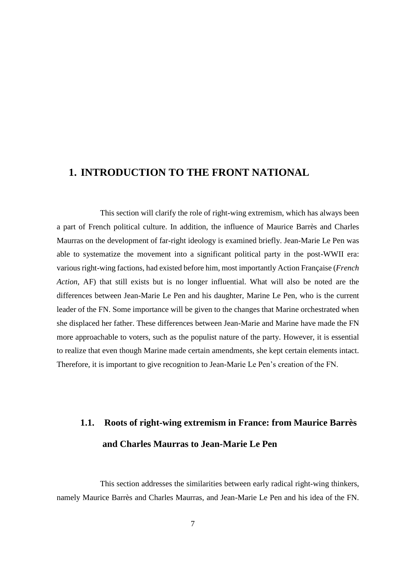### **1. INTRODUCTION TO THE FRONT NATIONAL**

This section will clarify the role of right-wing extremism, which has always been a part of French political culture. In addition, the influence of Maurice Barrès and Charles Maurras on the development of far-right ideology is examined briefly. Jean-Marie Le Pen was able to systematize the movement into a significant political party in the post-WWII era: various right-wing factions, had existed before him, most importantly Action Française (*French Action*, AF) that still exists but is no longer influential. What will also be noted are the differences between Jean-Marie Le Pen and his daughter, Marine Le Pen, who is the current leader of the FN. Some importance will be given to the changes that Marine orchestrated when she displaced her father. These differences between Jean-Marie and Marine have made the FN more approachable to voters, such as the populist nature of the party. However, it is essential to realize that even though Marine made certain amendments, she kept certain elements intact. Therefore, it is important to give recognition to Jean-Marie Le Pen's creation of the FN.

# **1.1. Roots of right-wing extremism in France: from Maurice Barrès and Charles Maurras to Jean-Marie Le Pen**

This section addresses the similarities between early radical right-wing thinkers, namely Maurice Barrès and Charles Maurras, and Jean-Marie Le Pen and his idea of the FN.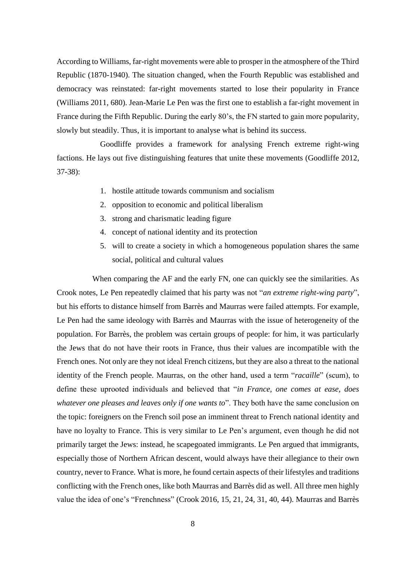According to Williams, far-right movements were able to prosper in the atmosphere of the Third Republic (1870-1940). The situation changed, when the Fourth Republic was established and democracy was reinstated: far-right movements started to lose their popularity in France (Williams 2011, 680). Jean-Marie Le Pen was the first one to establish a far-right movement in France during the Fifth Republic. During the early 80's, the FN started to gain more popularity, slowly but steadily. Thus, it is important to analyse what is behind its success.

Goodliffe provides a framework for analysing French extreme right-wing factions. He lays out five distinguishing features that unite these movements (Goodliffe 2012, 37-38):

- 1. hostile attitude towards communism and socialism
- 2. opposition to economic and political liberalism
- 3. strong and charismatic leading figure
- 4. concept of national identity and its protection
- 5. will to create a society in which a homogeneous population shares the same social, political and cultural values

When comparing the AF and the early FN, one can quickly see the similarities. As Crook notes, Le Pen repeatedly claimed that his party was not "*an extreme right-wing party*", but his efforts to distance himself from Barrès and Maurras were failed attempts. For example, Le Pen had the same ideology with Barrès and Maurras with the issue of heterogeneity of the population. For Barrès, the problem was certain groups of people: for him, it was particularly the Jews that do not have their roots in France, thus their values are incompatible with the French ones. Not only are they not ideal French citizens, but they are also a threat to the national identity of the French people. Maurras, on the other hand, used a term "*racaille*" (scum), to define these uprooted individuals and believed that "*in France, one comes at ease, does whatever one pleases and leaves only if one wants to*". They both have the same conclusion on the topic: foreigners on the French soil pose an imminent threat to French national identity and have no loyalty to France. This is very similar to Le Pen's argument, even though he did not primarily target the Jews: instead, he scapegoated immigrants. Le Pen argued that immigrants, especially those of Northern African descent, would always have their allegiance to their own country, never to France. What is more, he found certain aspects of their lifestyles and traditions conflicting with the French ones, like both Maurras and Barrès did as well. All three men highly value the idea of one's "Frenchness" (Crook 2016, 15, 21, 24, 31, 40, 44). Maurras and Barrès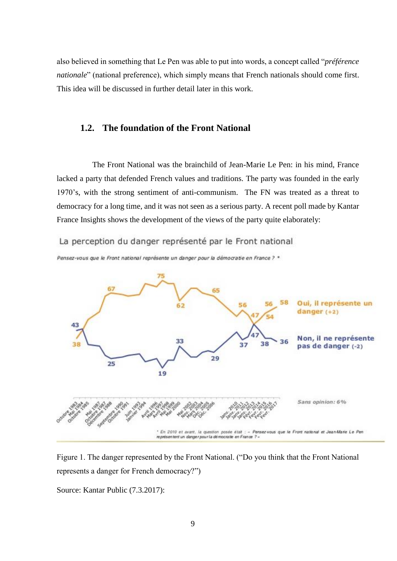also believed in something that Le Pen was able to put into words, a concept called "*préférence nationale*" (national preference), which simply means that French nationals should come first. This idea will be discussed in further detail later in this work.

### **1.2. The foundation of the Front National**

The Front National was the brainchild of Jean-Marie Le Pen: in his mind, France lacked a party that defended French values and traditions. The party was founded in the early 1970's, with the strong sentiment of anti-communism. The FN was treated as a threat to democracy for a long time, and it was not seen as a serious party. A recent poll made by Kantar France Insights shows the development of the views of the party quite elaborately:

La perception du danger représenté par le Front national





Figure 1. The danger represented by the Front National. ("Do you think that the Front National represents a danger for French democracy?")

Source: Kantar Public (7.3.2017):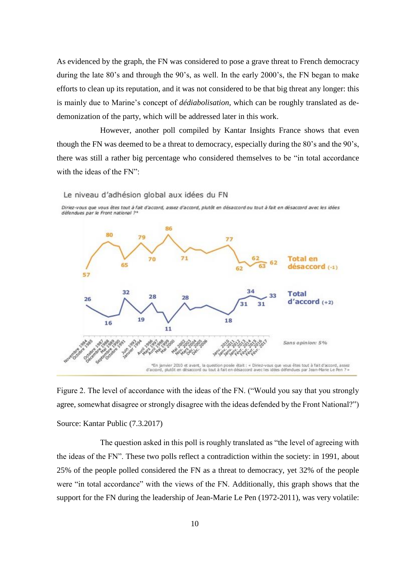As evidenced by the graph, the FN was considered to pose a grave threat to French democracy during the late 80's and through the 90's, as well. In the early 2000's, the FN began to make efforts to clean up its reputation, and it was not considered to be that big threat any longer: this is mainly due to Marine's concept of *dédiabolisation*, which can be roughly translated as dedemonization of the party, which will be addressed later in this work.

However, another poll compiled by Kantar Insights France shows that even though the FN was deemed to be a threat to democracy, especially during the 80's and the 90's, there was still a rather big percentage who considered themselves to be "in total accordance with the ideas of the FN":

Le niveau d'adhésion global aux idées du FN





Figure 2. The level of accordance with the ideas of the FN. ("Would you say that you strongly agree, somewhat disagree or strongly disagree with the ideas defended by the Front National?") Source: Kantar Public (7.3.2017)

The question asked in this poll is roughly translated as "the level of agreeing with the ideas of the FN". These two polls reflect a contradiction within the society: in 1991, about 25% of the people polled considered the FN as a threat to democracy, yet 32% of the people were "in total accordance" with the views of the FN. Additionally, this graph shows that the support for the FN during the leadership of Jean-Marie Le Pen (1972-2011), was very volatile: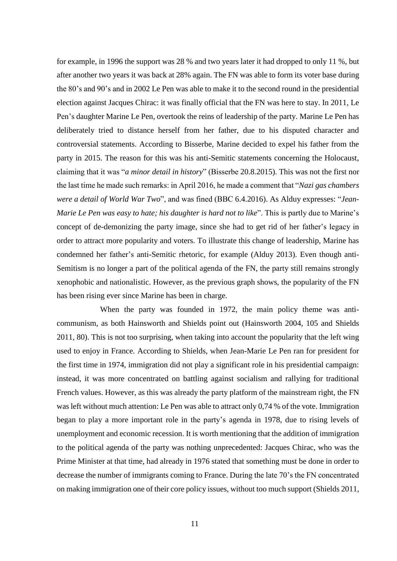for example, in 1996 the support was 28 % and two years later it had dropped to only 11 %, but after another two years it was back at 28% again. The FN was able to form its voter base during the 80's and 90's and in 2002 Le Pen was able to make it to the second round in the presidential election against Jacques Chirac: it was finally official that the FN was here to stay. In 2011, Le Pen's daughter Marine Le Pen, overtook the reins of leadership of the party. Marine Le Pen has deliberately tried to distance herself from her father, due to his disputed character and controversial statements. According to Bisserbe, Marine decided to expel his father from the party in 2015. The reason for this was his anti-Semitic statements concerning the Holocaust, claiming that it was "*a minor detail in history*" (Bisserbe 20.8.2015). This was not the first nor the last time he made such remarks: in April 2016, he made a comment that "*Nazi gas chambers were a detail of World War Two*", and was fined (BBC 6.4.2016). As Alduy expresses: "*Jean-Marie Le Pen was easy to hate; his daughter is hard not to like*". This is partly due to Marine's concept of de-demonizing the party image, since she had to get rid of her father's legacy in order to attract more popularity and voters. To illustrate this change of leadership, Marine has condemned her father's anti-Semitic rhetoric, for example (Alduy 2013). Even though anti-Semitism is no longer a part of the political agenda of the FN, the party still remains strongly xenophobic and nationalistic. However, as the previous graph shows, the popularity of the FN has been rising ever since Marine has been in charge.

When the party was founded in 1972, the main policy theme was anticommunism, as both Hainsworth and Shields point out (Hainsworth 2004, 105 and Shields 2011, 80). This is not too surprising, when taking into account the popularity that the left wing used to enjoy in France. According to Shields, when Jean-Marie Le Pen ran for president for the first time in 1974, immigration did not play a significant role in his presidential campaign: instead, it was more concentrated on battling against socialism and rallying for traditional French values. However, as this was already the party platform of the mainstream right, the FN was left without much attention: Le Pen was able to attract only 0,74 % of the vote. Immigration began to play a more important role in the party's agenda in 1978, due to rising levels of unemployment and economic recession. It is worth mentioning that the addition of immigration to the political agenda of the party was nothing unprecedented: Jacques Chirac, who was the Prime Minister at that time, had already in 1976 stated that something must be done in order to decrease the number of immigrants coming to France. During the late 70's the FN concentrated on making immigration one of their core policy issues, without too much support (Shields 2011,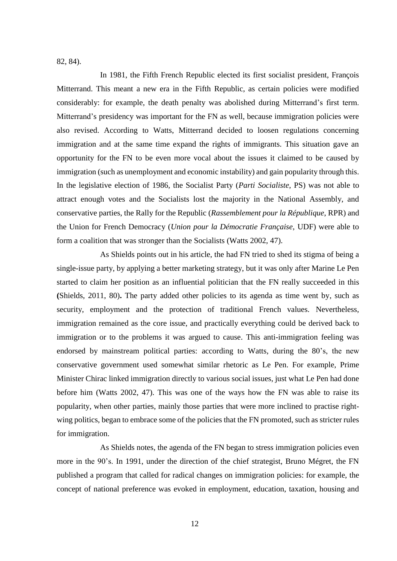82, 84).

In 1981, the Fifth French Republic elected its first socialist president, François Mitterrand. This meant a new era in the Fifth Republic, as certain policies were modified considerably: for example, the death penalty was abolished during Mitterrand's first term. Mitterrand's presidency was important for the FN as well, because immigration policies were also revised. According to Watts, Mitterrand decided to loosen regulations concerning immigration and at the same time expand the rights of immigrants. This situation gave an opportunity for the FN to be even more vocal about the issues it claimed to be caused by immigration (such as unemployment and economic instability) and gain popularity through this. In the legislative election of 1986, the Socialist Party (*Parti Socialiste*, PS) was not able to attract enough votes and the Socialists lost the majority in the National Assembly, and conservative parties, the Rally for the Republic (*Rassemblement pour la République*, RPR) and the Union for French Democracy (*Union pour la Démocratie Française*, UDF) were able to form a coalition that was stronger than the Socialists (Watts 2002, 47).

As Shields points out in his article, the had FN tried to shed its stigma of being a single-issue party, by applying a better marketing strategy, but it was only after Marine Le Pen started to claim her position as an influential politician that the FN really succeeded in this **(**Shields, 2011, 80)**.** The party added other policies to its agenda as time went by, such as security, employment and the protection of traditional French values. Nevertheless, immigration remained as the core issue, and practically everything could be derived back to immigration or to the problems it was argued to cause. This anti-immigration feeling was endorsed by mainstream political parties: according to Watts, during the 80's, the new conservative government used somewhat similar rhetoric as Le Pen. For example, Prime Minister Chirac linked immigration directly to various social issues, just what Le Pen had done before him (Watts 2002, 47). This was one of the ways how the FN was able to raise its popularity, when other parties, mainly those parties that were more inclined to practise rightwing politics, began to embrace some of the policies that the FN promoted, such as stricter rules for immigration.

As Shields notes, the agenda of the FN began to stress immigration policies even more in the 90's. In 1991, under the direction of the chief strategist, Bruno Mégret, the FN published a program that called for radical changes on immigration policies: for example, the concept of national preference was evoked in employment, education, taxation, housing and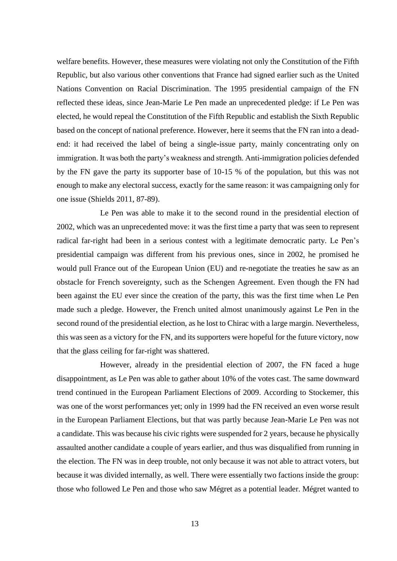welfare benefits. However, these measures were violating not only the Constitution of the Fifth Republic, but also various other conventions that France had signed earlier such as the United Nations Convention on Racial Discrimination. The 1995 presidential campaign of the FN reflected these ideas, since Jean-Marie Le Pen made an unprecedented pledge: if Le Pen was elected, he would repeal the Constitution of the Fifth Republic and establish the Sixth Republic based on the concept of national preference. However, here it seems that the FN ran into a deadend: it had received the label of being a single-issue party, mainly concentrating only on immigration. It was both the party's weakness and strength. Anti-immigration policies defended by the FN gave the party its supporter base of 10-15 % of the population, but this was not enough to make any electoral success, exactly for the same reason: it was campaigning only for one issue (Shields 2011, 87-89).

Le Pen was able to make it to the second round in the presidential election of 2002, which was an unprecedented move: it was the first time a party that was seen to represent radical far-right had been in a serious contest with a legitimate democratic party. Le Pen's presidential campaign was different from his previous ones, since in 2002, he promised he would pull France out of the European Union (EU) and re-negotiate the treaties he saw as an obstacle for French sovereignty, such as the Schengen Agreement. Even though the FN had been against the EU ever since the creation of the party, this was the first time when Le Pen made such a pledge. However, the French united almost unanimously against Le Pen in the second round of the presidential election, as he lost to Chirac with a large margin. Nevertheless, this was seen as a victory for the FN, and its supporters were hopeful for the future victory, now that the glass ceiling for far-right was shattered.

However, already in the presidential election of 2007, the FN faced a huge disappointment, as Le Pen was able to gather about 10% of the votes cast. The same downward trend continued in the European Parliament Elections of 2009. According to Stockemer, this was one of the worst performances yet; only in 1999 had the FN received an even worse result in the European Parliament Elections, but that was partly because Jean-Marie Le Pen was not a candidate. This was because his civic rights were suspended for 2 years, because he physically assaulted another candidate a couple of years earlier, and thus was disqualified from running in the election. The FN was in deep trouble, not only because it was not able to attract voters, but because it was divided internally, as well. There were essentially two factions inside the group: those who followed Le Pen and those who saw Mégret as a potential leader. Mégret wanted to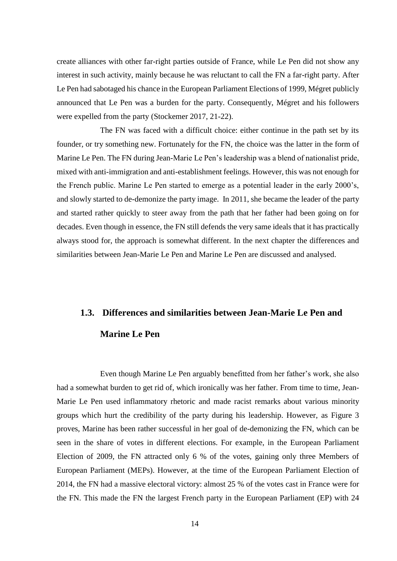create alliances with other far-right parties outside of France, while Le Pen did not show any interest in such activity, mainly because he was reluctant to call the FN a far-right party. After Le Pen had sabotaged his chance in the European Parliament Elections of 1999, Mégret publicly announced that Le Pen was a burden for the party. Consequently, Mégret and his followers were expelled from the party (Stockemer 2017, 21-22).

The FN was faced with a difficult choice: either continue in the path set by its founder, or try something new. Fortunately for the FN, the choice was the latter in the form of Marine Le Pen. The FN during Jean-Marie Le Pen's leadership was a blend of nationalist pride, mixed with anti-immigration and anti-establishment feelings. However, this was not enough for the French public. Marine Le Pen started to emerge as a potential leader in the early 2000's, and slowly started to de-demonize the party image. In 2011, she became the leader of the party and started rather quickly to steer away from the path that her father had been going on for decades. Even though in essence, the FN still defends the very same ideals that it has practically always stood for, the approach is somewhat different. In the next chapter the differences and similarities between Jean-Marie Le Pen and Marine Le Pen are discussed and analysed.

#### **1.3. Differences and similarities between Jean-Marie Le Pen and**

### **Marine Le Pen**

Even though Marine Le Pen arguably benefitted from her father's work, she also had a somewhat burden to get rid of, which ironically was her father. From time to time, Jean-Marie Le Pen used inflammatory rhetoric and made racist remarks about various minority groups which hurt the credibility of the party during his leadership. However, as Figure 3 proves, Marine has been rather successful in her goal of de-demonizing the FN, which can be seen in the share of votes in different elections. For example, in the European Parliament Election of 2009, the FN attracted only 6 % of the votes, gaining only three Members of European Parliament (MEPs). However, at the time of the European Parliament Election of 2014, the FN had a massive electoral victory: almost 25 % of the votes cast in France were for the FN. This made the FN the largest French party in the European Parliament (EP) with 24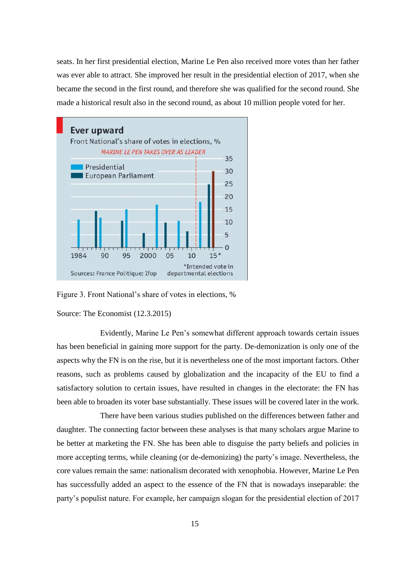seats. In her first presidential election, Marine Le Pen also received more votes than her father was ever able to attract. She improved her result in the presidential election of 2017, when she became the second in the first round, and therefore she was qualified for the second round. She made a historical result also in the second round, as about 10 million people voted for her.



Figure 3. Front National's share of votes in elections, %

Source: The Economist (12.3.2015)

Evidently, Marine Le Pen's somewhat different approach towards certain issues has been beneficial in gaining more support for the party. De-demonization is only one of the aspects why the FN is on the rise, but it is nevertheless one of the most important factors. Other reasons, such as problems caused by globalization and the incapacity of the EU to find a satisfactory solution to certain issues, have resulted in changes in the electorate: the FN has been able to broaden its voter base substantially. These issues will be covered later in the work.

There have been various studies published on the differences between father and daughter. The connecting factor between these analyses is that many scholars argue Marine to be better at marketing the FN. She has been able to disguise the party beliefs and policies in more accepting terms, while cleaning (or de-demonizing) the party's image. Nevertheless, the core values remain the same: nationalism decorated with xenophobia. However, Marine Le Pen has successfully added an aspect to the essence of the FN that is nowadays inseparable: the party's populist nature. For example, her campaign slogan for the presidential election of 2017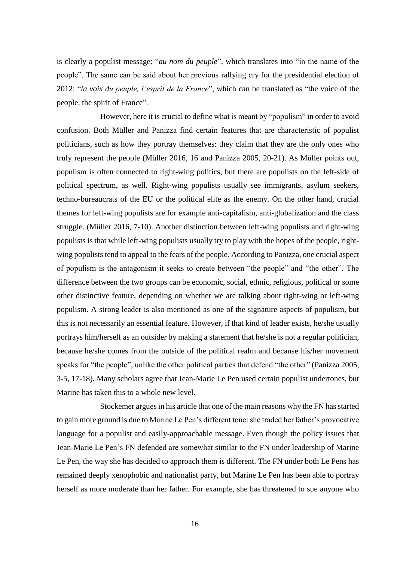is clearly a populist message: "*au nom du peuple*", which translates into "in the name of the people". The same can be said about her previous rallying cry for the presidential election of 2012: "*la voix du peuple, l'esprit de la France*", which can be translated as "the voice of the people, the spirit of France".

However, here it is crucial to define what is meant by "populism" in order to avoid confusion. Both Müller and Panizza find certain features that are characteristic of populist politicians, such as how they portray themselves: they claim that they are the only ones who truly represent the people (Müller 2016, 16 and Panizza 2005, 20-21). As Müller points out, populism is often connected to right-wing politics, but there are populists on the left-side of political spectrum, as well. Right-wing populists usually see immigrants, asylum seekers, techno-bureaucrats of the EU or the political elite as the enemy. On the other hand, crucial themes for left-wing populists are for example anti-capitalism, anti-globalization and the class struggle. (Müller 2016, 7-10). Another distinction between left-wing populists and right-wing populists is that while left-wing populists usually try to play with the hopes of the people, rightwing populists tend to appeal to the fears of the people. According to Panizza, one crucial aspect of populism is the antagonism it seeks to create between "the people" and "the other". The difference between the two groups can be economic, social, ethnic, religious, political or some other distinctive feature, depending on whether we are talking about right-wing or left-wing populism. A strong leader is also mentioned as one of the signature aspects of populism, but this is not necessarily an essential feature. However, if that kind of leader exists, he/she usually portrays him/herself as an outsider by making a statement that he/she is not a regular politician, because he/she comes from the outside of the political realm and because his/her movement speaks for "the people", unlike the other political parties that defend "the other" (Panizza 2005, 3-5, 17-18). Many scholars agree that Jean-Marie Le Pen used certain populist undertones, but Marine has taken this to a whole new level.

Stockemer argues in his article that one of the main reasons why the FN has started to gain more ground is due to Marine Le Pen's different tone: she traded her father's provocative language for a populist and easily-approachable message. Even though the policy issues that Jean-Marie Le Pen's FN defended are somewhat similar to the FN under leadership of Marine Le Pen, the way she has decided to approach them is different. The FN under both Le Pens has remained deeply xenophobic and nationalist party, but Marine Le Pen has been able to portray herself as more moderate than her father. For example, she has threatened to sue anyone who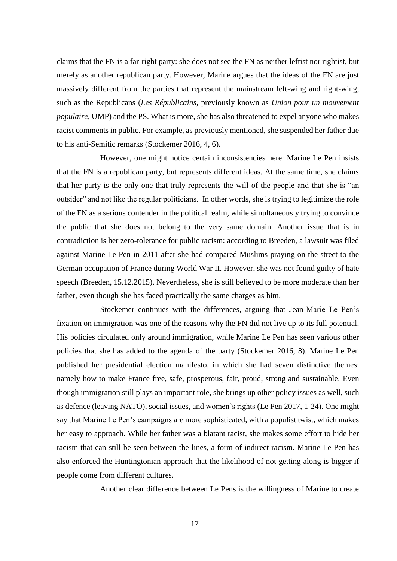claims that the FN is a far-right party: she does not see the FN as neither leftist nor rightist, but merely as another republican party. However, Marine argues that the ideas of the FN are just massively different from the parties that represent the mainstream left-wing and right-wing, such as the Republicans (*Les Républicains*, previously known as *Union pour un mouvement populaire*, UMP) and the PS. What is more, she has also threatened to expel anyone who makes racist comments in public. For example, as previously mentioned, she suspended her father due to his anti-Semitic remarks (Stockemer 2016, 4, 6).

However, one might notice certain inconsistencies here: Marine Le Pen insists that the FN is a republican party, but represents different ideas. At the same time, she claims that her party is the only one that truly represents the will of the people and that she is "an outsider" and not like the regular politicians. In other words, she is trying to legitimize the role of the FN as a serious contender in the political realm, while simultaneously trying to convince the public that she does not belong to the very same domain. Another issue that is in contradiction is her zero-tolerance for public racism: according to Breeden, a lawsuit was filed against Marine Le Pen in 2011 after she had compared Muslims praying on the street to the German occupation of France during World War II. However, she was not found guilty of hate speech (Breeden, 15.12.2015). Nevertheless, she is still believed to be more moderate than her father, even though she has faced practically the same charges as him.

Stockemer continues with the differences, arguing that Jean-Marie Le Pen's fixation on immigration was one of the reasons why the FN did not live up to its full potential. His policies circulated only around immigration, while Marine Le Pen has seen various other policies that she has added to the agenda of the party (Stockemer 2016, 8). Marine Le Pen published her presidential election manifesto, in which she had seven distinctive themes: namely how to make France free, safe, prosperous, fair, proud, strong and sustainable. Even though immigration still plays an important role, she brings up other policy issues as well, such as defence (leaving NATO), social issues, and women's rights (Le Pen 2017, 1-24). One might say that Marine Le Pen's campaigns are more sophisticated, with a populist twist, which makes her easy to approach. While her father was a blatant racist, she makes some effort to hide her racism that can still be seen between the lines, a form of indirect racism. Marine Le Pen has also enforced the Huntingtonian approach that the likelihood of not getting along is bigger if people come from different cultures.

Another clear difference between Le Pens is the willingness of Marine to create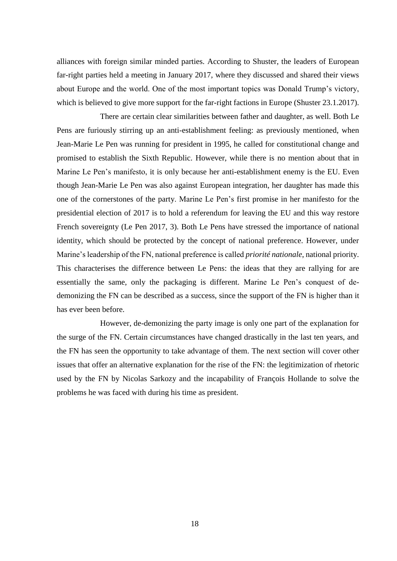alliances with foreign similar minded parties. According to Shuster, the leaders of European far-right parties held a meeting in January 2017, where they discussed and shared their views about Europe and the world. One of the most important topics was Donald Trump's victory, which is believed to give more support for the far-right factions in Europe (Shuster 23.1.2017).

There are certain clear similarities between father and daughter, as well. Both Le Pens are furiously stirring up an anti-establishment feeling: as previously mentioned, when Jean-Marie Le Pen was running for president in 1995, he called for constitutional change and promised to establish the Sixth Republic. However, while there is no mention about that in Marine Le Pen's manifesto, it is only because her anti-establishment enemy is the EU. Even though Jean-Marie Le Pen was also against European integration, her daughter has made this one of the cornerstones of the party. Marine Le Pen's first promise in her manifesto for the presidential election of 2017 is to hold a referendum for leaving the EU and this way restore French sovereignty (Le Pen 2017, 3). Both Le Pens have stressed the importance of national identity, which should be protected by the concept of national preference. However, under Marine's leadership of the FN, national preference is called *priorité nationale*, national priority. This characterises the difference between Le Pens: the ideas that they are rallying for are essentially the same, only the packaging is different. Marine Le Pen's conquest of dedemonizing the FN can be described as a success, since the support of the FN is higher than it has ever been before.

However, de-demonizing the party image is only one part of the explanation for the surge of the FN. Certain circumstances have changed drastically in the last ten years, and the FN has seen the opportunity to take advantage of them. The next section will cover other issues that offer an alternative explanation for the rise of the FN: the legitimization of rhetoric used by the FN by Nicolas Sarkozy and the incapability of François Hollande to solve the problems he was faced with during his time as president.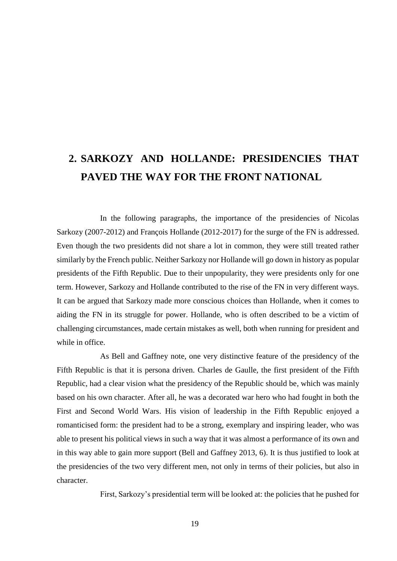# **2. SARKOZY AND HOLLANDE: PRESIDENCIES THAT PAVED THE WAY FOR THE FRONT NATIONAL**

In the following paragraphs, the importance of the presidencies of Nicolas Sarkozy (2007-2012) and François Hollande (2012-2017) for the surge of the FN is addressed. Even though the two presidents did not share a lot in common, they were still treated rather similarly by the French public. Neither Sarkozy nor Hollande will go down in history as popular presidents of the Fifth Republic. Due to their unpopularity, they were presidents only for one term. However, Sarkozy and Hollande contributed to the rise of the FN in very different ways. It can be argued that Sarkozy made more conscious choices than Hollande, when it comes to aiding the FN in its struggle for power. Hollande, who is often described to be a victim of challenging circumstances, made certain mistakes as well, both when running for president and while in office.

As Bell and Gaffney note, one very distinctive feature of the presidency of the Fifth Republic is that it is persona driven. Charles de Gaulle, the first president of the Fifth Republic, had a clear vision what the presidency of the Republic should be, which was mainly based on his own character. After all, he was a decorated war hero who had fought in both the First and Second World Wars. His vision of leadership in the Fifth Republic enjoyed a romanticised form: the president had to be a strong, exemplary and inspiring leader, who was able to present his political views in such a way that it was almost a performance of its own and in this way able to gain more support (Bell and Gaffney 2013, 6). It is thus justified to look at the presidencies of the two very different men, not only in terms of their policies, but also in character.

First, Sarkozy's presidential term will be looked at: the policies that he pushed for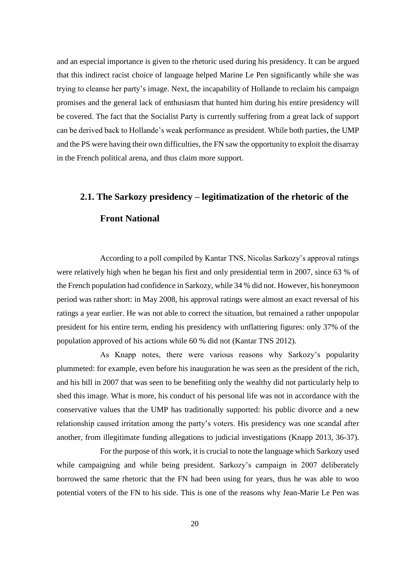and an especial importance is given to the rhetoric used during his presidency. It can be argued that this indirect racist choice of language helped Marine Le Pen significantly while she was trying to cleanse her party's image. Next, the incapability of Hollande to reclaim his campaign promises and the general lack of enthusiasm that hunted him during his entire presidency will be covered. The fact that the Socialist Party is currently suffering from a great lack of support can be derived back to Hollande's weak performance as president. While both parties, the UMP and the PS were having their own difficulties, the FN saw the opportunity to exploit the disarray in the French political arena, and thus claim more support.

# **2.1. The Sarkozy presidency – legitimatization of the rhetoric of the Front National**

According to a poll compiled by Kantar TNS, Nicolas Sarkozy's approval ratings were relatively high when he began his first and only presidential term in 2007, since 63 % of the French population had confidence in Sarkozy, while 34 % did not. However, his honeymoon period was rather short: in May 2008, his approval ratings were almost an exact reversal of his ratings a year earlier. He was not able to correct the situation, but remained a rather unpopular president for his entire term, ending his presidency with unflattering figures: only 37% of the population approved of his actions while 60 % did not (Kantar TNS 2012).

As Knapp notes, there were various reasons why Sarkozy's popularity plummeted: for example, even before his inauguration he was seen as the president of the rich, and his bill in 2007 that was seen to be benefiting only the wealthy did not particularly help to shed this image. What is more, his conduct of his personal life was not in accordance with the conservative values that the UMP has traditionally supported: his public divorce and a new relationship caused irritation among the party's voters. His presidency was one scandal after another, from illegitimate funding allegations to judicial investigations (Knapp 2013, 36-37).

For the purpose of this work, it is crucial to note the language which Sarkozy used while campaigning and while being president. Sarkozy's campaign in 2007 deliberately borrowed the same rhetoric that the FN had been using for years, thus he was able to woo potential voters of the FN to his side. This is one of the reasons why Jean-Marie Le Pen was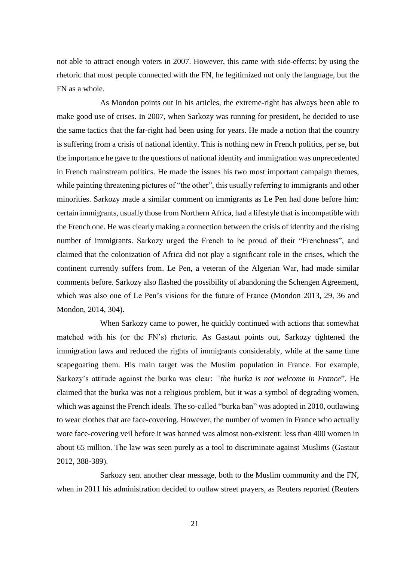not able to attract enough voters in 2007. However, this came with side-effects: by using the rhetoric that most people connected with the FN, he legitimized not only the language, but the FN as a whole.

As Mondon points out in his articles, the extreme-right has always been able to make good use of crises. In 2007, when Sarkozy was running for president, he decided to use the same tactics that the far-right had been using for years. He made a notion that the country is suffering from a crisis of national identity. This is nothing new in French politics, per se, but the importance he gave to the questions of national identity and immigration was unprecedented in French mainstream politics. He made the issues his two most important campaign themes, while painting threatening pictures of "the other", this usually referring to immigrants and other minorities. Sarkozy made a similar comment on immigrants as Le Pen had done before him: certain immigrants, usually those from Northern Africa, had a lifestyle that is incompatible with the French one. He was clearly making a connection between the crisis of identity and the rising number of immigrants. Sarkozy urged the French to be proud of their "Frenchness", and claimed that the colonization of Africa did not play a significant role in the crises, which the continent currently suffers from. Le Pen, a veteran of the Algerian War, had made similar comments before. Sarkozy also flashed the possibility of abandoning the Schengen Agreement, which was also one of Le Pen's visions for the future of France (Mondon 2013, 29, 36 and Mondon, 2014, 304).

When Sarkozy came to power, he quickly continued with actions that somewhat matched with his (or the FN's) rhetoric. As Gastaut points out, Sarkozy tightened the immigration laws and reduced the rights of immigrants considerably, while at the same time scapegoating them. His main target was the Muslim population in France. For example, Sarkozy's attitude against the burka was clear: *"the burka is not welcome in France*". He claimed that the burka was not a religious problem, but it was a symbol of degrading women, which was against the French ideals. The so-called "burka ban" was adopted in 2010, outlawing to wear clothes that are face-covering. However, the number of women in France who actually wore face-covering veil before it was banned was almost non-existent: less than 400 women in about 65 million. The law was seen purely as a tool to discriminate against Muslims (Gastaut 2012, 388-389).

Sarkozy sent another clear message, both to the Muslim community and the FN, when in 2011 his administration decided to outlaw street prayers, as Reuters reported (Reuters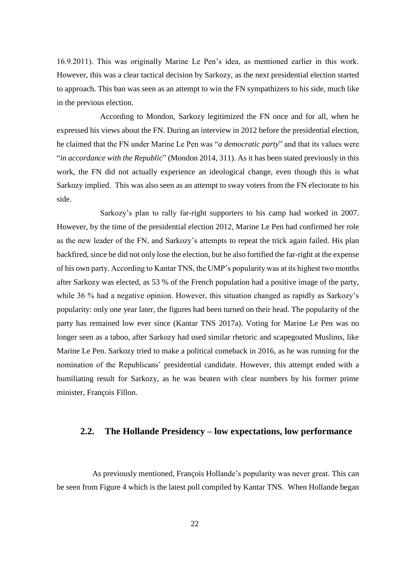16.9.2011). This was originally Marine Le Pen's idea, as mentioned earlier in this work. However, this was a clear tactical decision by Sarkozy, as the next presidential election started to approach. This ban was seen as an attempt to win the FN sympathizers to his side, much like in the previous election.

According to Mondon, Sarkozy legitimized the FN once and for all, when he expressed his views about the FN. During an interview in 2012 before the presidential election, he claimed that the FN under Marine Le Pen was "*a democratic party*" and that its values were "*in accordance with the Republic*" (Mondon 2014, 311). As it has been stated previously in this work, the FN did not actually experience an ideological change, even though this is what Sarkozy implied. This was also seen as an attempt to sway voters from the FN electorate to his side.

Sarkozy's plan to rally far-right supporters to his camp had worked in 2007. However, by the time of the presidential election 2012, Marine Le Pen had confirmed her role as the new leader of the FN, and Sarkozy's attempts to repeat the trick again failed. His plan backfired, since he did not only lose the election, but he also fortified the far-right at the expense of his own party. According to Kantar TNS, the UMP's popularity was at its highest two months after Sarkozy was elected, as 53 % of the French population had a positive image of the party, while 36 % had a negative opinion. However, this situation changed as rapidly as Sarkozy's popularity: only one year later, the figures had been turned on their head. The popularity of the party has remained low ever since (Kantar TNS 2017a). Voting for Marine Le Pen was no longer seen as a taboo, after Sarkozy had used similar rhetoric and scapegoated Muslims, like Marine Le Pen. Sarkozy tried to make a political comeback in 2016, as he was running for the nomination of the Republicans' presidential candidate. However, this attempt ended with a humiliating result for Sarkozy, as he was beaten with clear numbers by his former prime minister, François Fillon.

### **2.2. The Hollande Presidency – low expectations, low performance**

As previously mentioned, François Hollande's popularity was never great. This can be seen from Figure 4 which is the latest poll compiled by Kantar TNS. When Hollande began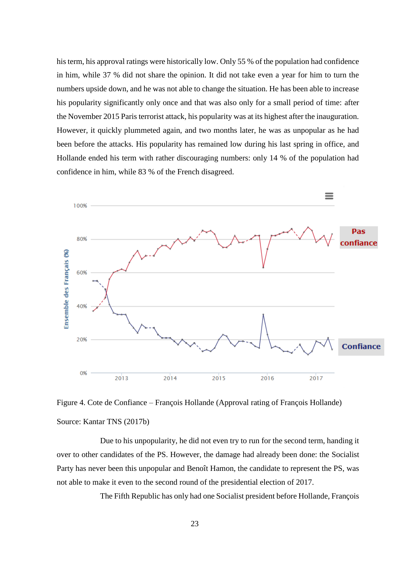his term, his approval ratings were historically low. Only 55 % of the population had confidence in him, while 37 % did not share the opinion. It did not take even a year for him to turn the numbers upside down, and he was not able to change the situation. He has been able to increase his popularity significantly only once and that was also only for a small period of time: after the November 2015 Paris terrorist attack, his popularity was at its highest after the inauguration. However, it quickly plummeted again, and two months later, he was as unpopular as he had been before the attacks. His popularity has remained low during his last spring in office, and Hollande ended his term with rather discouraging numbers: only 14 % of the population had confidence in him, while 83 % of the French disagreed.



Figure 4. Cote de Confiance – François Hollande (Approval rating of François Hollande) Source: Kantar TNS (2017b)

Due to his unpopularity, he did not even try to run for the second term, handing it over to other candidates of the PS. However, the damage had already been done: the Socialist Party has never been this unpopular and Benoît Hamon, the candidate to represent the PS, was not able to make it even to the second round of the presidential election of 2017.

The Fifth Republic has only had one Socialist president before Hollande, François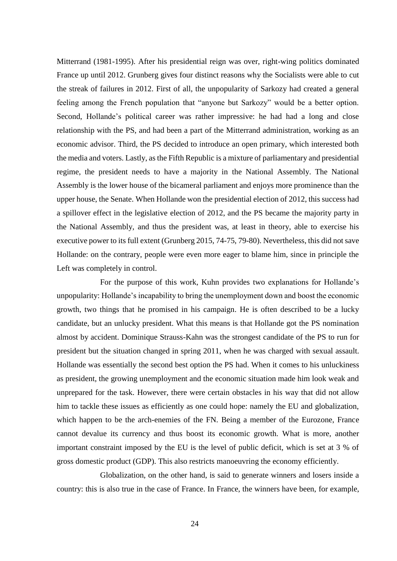Mitterrand (1981-1995). After his presidential reign was over, right-wing politics dominated France up until 2012. Grunberg gives four distinct reasons why the Socialists were able to cut the streak of failures in 2012. First of all, the unpopularity of Sarkozy had created a general feeling among the French population that "anyone but Sarkozy" would be a better option. Second, Hollande's political career was rather impressive: he had had a long and close relationship with the PS, and had been a part of the Mitterrand administration, working as an economic advisor. Third, the PS decided to introduce an open primary, which interested both the media and voters. Lastly, as the Fifth Republic is a mixture of parliamentary and presidential regime, the president needs to have a majority in the National Assembly. The National Assembly is the lower house of the bicameral parliament and enjoys more prominence than the upper house, the Senate. When Hollande won the presidential election of 2012, this success had a spillover effect in the legislative election of 2012, and the PS became the majority party in the National Assembly, and thus the president was, at least in theory, able to exercise his executive power to its full extent (Grunberg 2015, 74-75, 79-80). Nevertheless, this did not save Hollande: on the contrary, people were even more eager to blame him, since in principle the Left was completely in control.

For the purpose of this work, Kuhn provides two explanations for Hollande's unpopularity: Hollande's incapability to bring the unemployment down and boost the economic growth, two things that he promised in his campaign. He is often described to be a lucky candidate, but an unlucky president. What this means is that Hollande got the PS nomination almost by accident. Dominique Strauss-Kahn was the strongest candidate of the PS to run for president but the situation changed in spring 2011, when he was charged with sexual assault. Hollande was essentially the second best option the PS had. When it comes to his unluckiness as president, the growing unemployment and the economic situation made him look weak and unprepared for the task. However, there were certain obstacles in his way that did not allow him to tackle these issues as efficiently as one could hope: namely the EU and globalization, which happen to be the arch-enemies of the FN. Being a member of the Eurozone, France cannot devalue its currency and thus boost its economic growth. What is more, another important constraint imposed by the EU is the level of public deficit, which is set at 3 % of gross domestic product (GDP). This also restricts manoeuvring the economy efficiently.

Globalization, on the other hand, is said to generate winners and losers inside a country: this is also true in the case of France. In France, the winners have been, for example,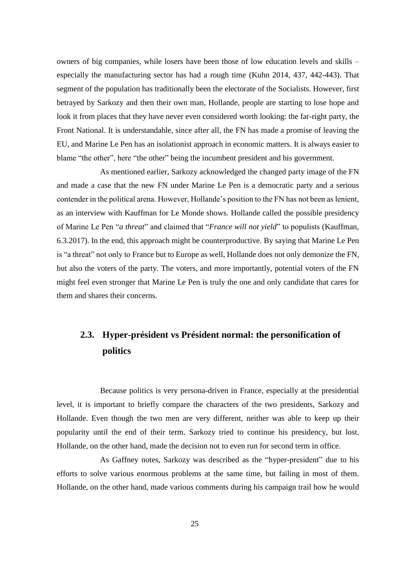owners of big companies, while losers have been those of low education levels and skills – especially the manufacturing sector has had a rough time (Kuhn 2014, 437, 442-443). That segment of the population has traditionally been the electorate of the Socialists. However, first betrayed by Sarkozy and then their own man, Hollande, people are starting to lose hope and look it from places that they have never even considered worth looking: the far-right party, the Front National. It is understandable, since after all, the FN has made a promise of leaving the EU, and Marine Le Pen has an isolationist approach in economic matters. It is always easier to blame "the other", here "the other" being the incumbent president and his government.

As mentioned earlier, Sarkozy acknowledged the changed party image of the FN and made a case that the new FN under Marine Le Pen is a democratic party and a serious contender in the political arena. However, Hollande's position to the FN has not been as lenient, as an interview with Kauffman for Le Monde shows. Hollande called the possible presidency of Marine Le Pen "*a threat*" and claimed that "*France will not yield*" to populists (Kauffman, 6.3.2017). In the end, this approach might be counterproductive. By saying that Marine Le Pen is "a threat" not only to France but to Europe as well, Hollande does not only demonize the FN, but also the voters of the party. The voters, and more importantly, potential voters of the FN might feel even stronger that Marine Le Pen is truly the one and only candidate that cares for them and shares their concerns.

## **2.3. Hyper-président vs Président normal: the personification of politics**

Because politics is very persona-driven in France, especially at the presidential level, it is important to briefly compare the characters of the two presidents, Sarkozy and Hollande. Even though the two men are very different, neither was able to keep up their popularity until the end of their term. Sarkozy tried to continue his presidency, but lost. Hollande, on the other hand, made the decision not to even run for second term in office.

As Gaffney notes, Sarkozy was described as the "hyper-president" due to his efforts to solve various enormous problems at the same time, but failing in most of them. Hollande, on the other hand, made various comments during his campaign trail how he would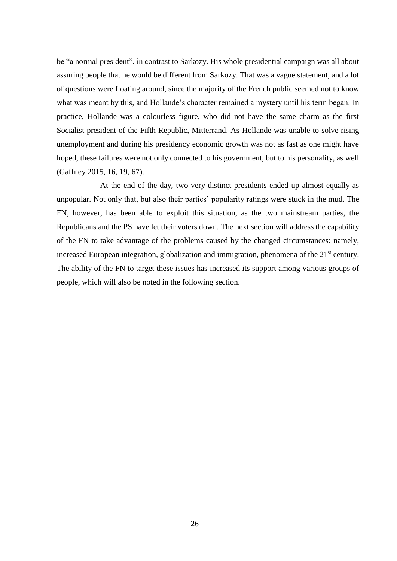be "a normal president", in contrast to Sarkozy. His whole presidential campaign was all about assuring people that he would be different from Sarkozy. That was a vague statement, and a lot of questions were floating around, since the majority of the French public seemed not to know what was meant by this, and Hollande's character remained a mystery until his term began. In practice, Hollande was a colourless figure, who did not have the same charm as the first Socialist president of the Fifth Republic, Mitterrand. As Hollande was unable to solve rising unemployment and during his presidency economic growth was not as fast as one might have hoped, these failures were not only connected to his government, but to his personality, as well (Gaffney 2015, 16, 19, 67).

At the end of the day, two very distinct presidents ended up almost equally as unpopular. Not only that, but also their parties' popularity ratings were stuck in the mud. The FN, however, has been able to exploit this situation, as the two mainstream parties, the Republicans and the PS have let their voters down. The next section will address the capability of the FN to take advantage of the problems caused by the changed circumstances: namely, increased European integration, globalization and immigration, phenomena of the  $21<sup>st</sup>$  century. The ability of the FN to target these issues has increased its support among various groups of people, which will also be noted in the following section.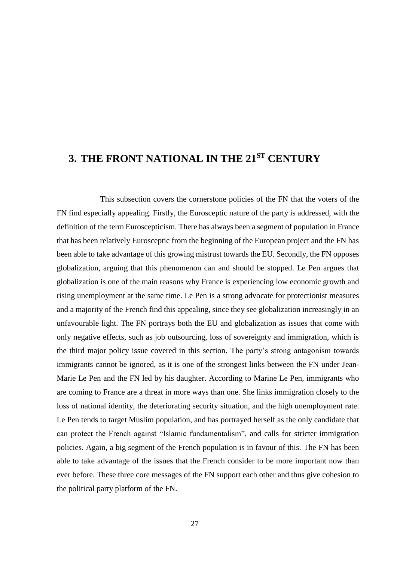## **3. THE FRONT NATIONAL IN THE 21ST CENTURY**

This subsection covers the cornerstone policies of the FN that the voters of the FN find especially appealing. Firstly, the Eurosceptic nature of the party is addressed, with the definition of the term Euroscepticism. There has always been a segment of population in France that has been relatively Eurosceptic from the beginning of the European project and the FN has been able to take advantage of this growing mistrust towards the EU. Secondly, the FN opposes globalization, arguing that this phenomenon can and should be stopped. Le Pen argues that globalization is one of the main reasons why France is experiencing low economic growth and rising unemployment at the same time. Le Pen is a strong advocate for protectionist measures and a majority of the French find this appealing, since they see globalization increasingly in an unfavourable light. The FN portrays both the EU and globalization as issues that come with only negative effects, such as job outsourcing, loss of sovereignty and immigration, which is the third major policy issue covered in this section. The party's strong antagonism towards immigrants cannot be ignored, as it is one of the strongest links between the FN under Jean-Marie Le Pen and the FN led by his daughter. According to Marine Le Pen, immigrants who are coming to France are a threat in more ways than one. She links immigration closely to the loss of national identity, the deteriorating security situation, and the high unemployment rate. Le Pen tends to target Muslim population, and has portrayed herself as the only candidate that can protect the French against "Islamic fundamentalism", and calls for stricter immigration policies. Again, a big segment of the French population is in favour of this. The FN has been able to take advantage of the issues that the French consider to be more important now than ever before. These three core messages of the FN support each other and thus give cohesion to the political party platform of the FN.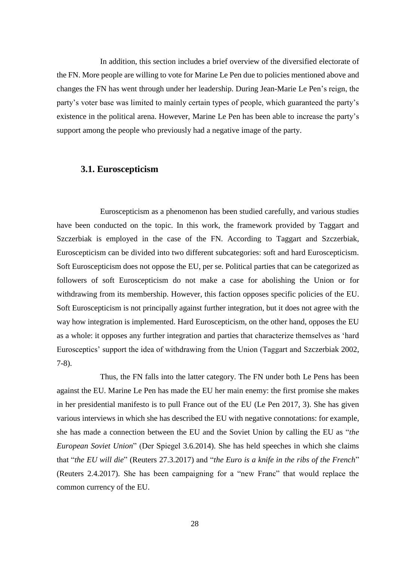In addition, this section includes a brief overview of the diversified electorate of the FN. More people are willing to vote for Marine Le Pen due to policies mentioned above and changes the FN has went through under her leadership. During Jean-Marie Le Pen's reign, the party's voter base was limited to mainly certain types of people, which guaranteed the party's existence in the political arena. However, Marine Le Pen has been able to increase the party's support among the people who previously had a negative image of the party.

#### **3.1. Euroscepticism**

Euroscepticism as a phenomenon has been studied carefully, and various studies have been conducted on the topic. In this work, the framework provided by Taggart and Szczerbiak is employed in the case of the FN. According to Taggart and Szczerbiak, Euroscepticism can be divided into two different subcategories: soft and hard Euroscepticism. Soft Euroscepticism does not oppose the EU, per se. Political parties that can be categorized as followers of soft Euroscepticism do not make a case for abolishing the Union or for withdrawing from its membership. However, this faction opposes specific policies of the EU. Soft Euroscepticism is not principally against further integration, but it does not agree with the way how integration is implemented. Hard Euroscepticism, on the other hand, opposes the EU as a whole: it opposes any further integration and parties that characterize themselves as 'hard Eurosceptics' support the idea of withdrawing from the Union (Taggart and Szczerbiak 2002, 7-8).

Thus, the FN falls into the latter category. The FN under both Le Pens has been against the EU. Marine Le Pen has made the EU her main enemy: the first promise she makes in her presidential manifesto is to pull France out of the EU (Le Pen 2017, 3). She has given various interviews in which she has described the EU with negative connotations: for example, she has made a connection between the EU and the Soviet Union by calling the EU as "*the European Soviet Union*" (Der Spiegel 3.6.2014). She has held speeches in which she claims that "*the EU will die*" (Reuters 27.3.2017) and "*the Euro is a knife in the ribs of the French*" (Reuters 2.4.2017). She has been campaigning for a "new Franc" that would replace the common currency of the EU.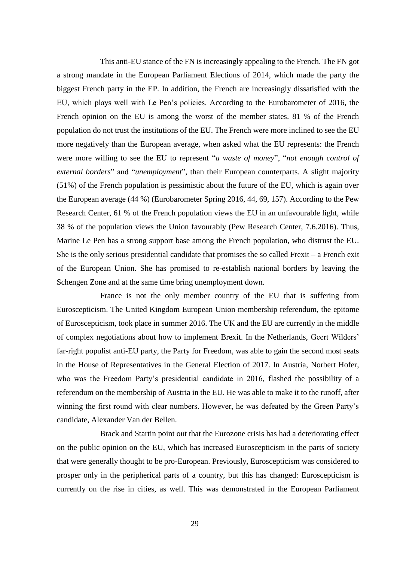This anti-EU stance of the FN is increasingly appealing to the French. The FN got a strong mandate in the European Parliament Elections of 2014, which made the party the biggest French party in the EP. In addition, the French are increasingly dissatisfied with the EU, which plays well with Le Pen's policies. According to the Eurobarometer of 2016, the French opinion on the EU is among the worst of the member states. 81 % of the French population do not trust the institutions of the EU. The French were more inclined to see the EU more negatively than the European average, when asked what the EU represents: the French were more willing to see the EU to represent "*a waste of money*", "*not enough control of external borders*" and "*unemployment*", than their European counterparts. A slight majority (51%) of the French population is pessimistic about the future of the EU, which is again over the European average (44 %) (Eurobarometer Spring 2016, 44, 69, 157). According to the Pew Research Center, 61 % of the French population views the EU in an unfavourable light, while 38 % of the population views the Union favourably (Pew Research Center, 7.6.2016). Thus, Marine Le Pen has a strong support base among the French population, who distrust the EU. She is the only serious presidential candidate that promises the so called Frexit – a French exit of the European Union. She has promised to re-establish national borders by leaving the Schengen Zone and at the same time bring unemployment down.

France is not the only member country of the EU that is suffering from Euroscepticism. The United Kingdom European Union membership referendum, the epitome of Euroscepticism, took place in summer 2016. The UK and the EU are currently in the middle of complex negotiations about how to implement Brexit. In the Netherlands, Geert Wilders' far-right populist anti-EU party, the Party for Freedom, was able to gain the second most seats in the House of Representatives in the General Election of 2017. In Austria, Norbert Hofer, who was the Freedom Party's presidential candidate in 2016, flashed the possibility of a referendum on the membership of Austria in the EU. He was able to make it to the runoff, after winning the first round with clear numbers. However, he was defeated by the Green Party's candidate, Alexander Van der Bellen.

Brack and Startin point out that the Eurozone crisis has had a deteriorating effect on the public opinion on the EU, which has increased Euroscepticism in the parts of society that were generally thought to be pro-European. Previously, Euroscepticism was considered to prosper only in the peripherical parts of a country, but this has changed: Euroscepticism is currently on the rise in cities, as well. This was demonstrated in the European Parliament

29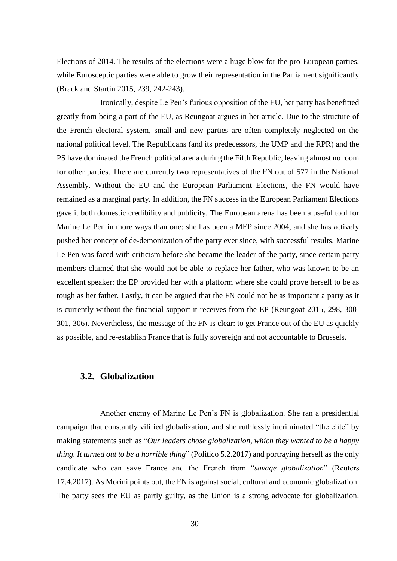Elections of 2014. The results of the elections were a huge blow for the pro-European parties, while Eurosceptic parties were able to grow their representation in the Parliament significantly (Brack and Startin 2015, 239, 242-243).

Ironically, despite Le Pen's furious opposition of the EU, her party has benefitted greatly from being a part of the EU, as Reungoat argues in her article. Due to the structure of the French electoral system, small and new parties are often completely neglected on the national political level. The Republicans (and its predecessors, the UMP and the RPR) and the PS have dominated the French political arena during the Fifth Republic, leaving almost no room for other parties. There are currently two representatives of the FN out of 577 in the National Assembly. Without the EU and the European Parliament Elections, the FN would have remained as a marginal party. In addition, the FN success in the European Parliament Elections gave it both domestic credibility and publicity. The European arena has been a useful tool for Marine Le Pen in more ways than one: she has been a MEP since 2004, and she has actively pushed her concept of de-demonization of the party ever since, with successful results. Marine Le Pen was faced with criticism before she became the leader of the party, since certain party members claimed that she would not be able to replace her father, who was known to be an excellent speaker: the EP provided her with a platform where she could prove herself to be as tough as her father. Lastly, it can be argued that the FN could not be as important a party as it is currently without the financial support it receives from the EP (Reungoat 2015, 298, 300- 301, 306). Nevertheless, the message of the FN is clear: to get France out of the EU as quickly as possible, and re-establish France that is fully sovereign and not accountable to Brussels.

### **3.2. Globalization**

Another enemy of Marine Le Pen's FN is globalization. She ran a presidential campaign that constantly vilified globalization, and she ruthlessly incriminated "the elite" by making statements such as "*Our leaders chose globalization, which they wanted to be a happy thing. It turned out to be a horrible thing*" (Politico 5.2.2017) and portraying herself as the only candidate who can save France and the French from "*savage globalization*" (Reuters 17.4.2017). As Morini points out, the FN is against social, cultural and economic globalization. The party sees the EU as partly guilty, as the Union is a strong advocate for globalization.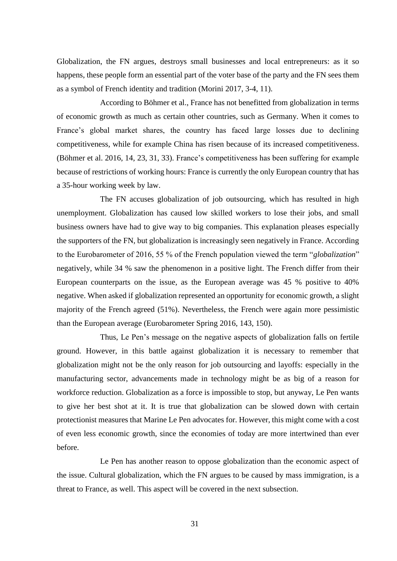Globalization, the FN argues, destroys small businesses and local entrepreneurs: as it so happens, these people form an essential part of the voter base of the party and the FN sees them as a symbol of French identity and tradition (Morini 2017, 3-4, 11).

According to Böhmer et al., France has not benefitted from globalization in terms of economic growth as much as certain other countries, such as Germany. When it comes to France's global market shares, the country has faced large losses due to declining competitiveness, while for example China has risen because of its increased competitiveness. (Böhmer et al. 2016, 14, 23, 31, 33). France's competitiveness has been suffering for example because of restrictions of working hours: France is currently the only European country that has a 35-hour working week by law.

The FN accuses globalization of job outsourcing, which has resulted in high unemployment. Globalization has caused low skilled workers to lose their jobs, and small business owners have had to give way to big companies. This explanation pleases especially the supporters of the FN, but globalization is increasingly seen negatively in France. According to the Eurobarometer of 2016, 55 % of the French population viewed the term "*globalization*" negatively, while 34 % saw the phenomenon in a positive light. The French differ from their European counterparts on the issue, as the European average was 45 % positive to 40% negative. When asked if globalization represented an opportunity for economic growth, a slight majority of the French agreed (51%). Nevertheless, the French were again more pessimistic than the European average (Eurobarometer Spring 2016, 143, 150).

Thus, Le Pen's message on the negative aspects of globalization falls on fertile ground. However, in this battle against globalization it is necessary to remember that globalization might not be the only reason for job outsourcing and layoffs: especially in the manufacturing sector, advancements made in technology might be as big of a reason for workforce reduction. Globalization as a force is impossible to stop, but anyway, Le Pen wants to give her best shot at it. It is true that globalization can be slowed down with certain protectionist measures that Marine Le Pen advocates for. However, this might come with a cost of even less economic growth, since the economies of today are more intertwined than ever before.

Le Pen has another reason to oppose globalization than the economic aspect of the issue. Cultural globalization, which the FN argues to be caused by mass immigration, is a threat to France, as well. This aspect will be covered in the next subsection.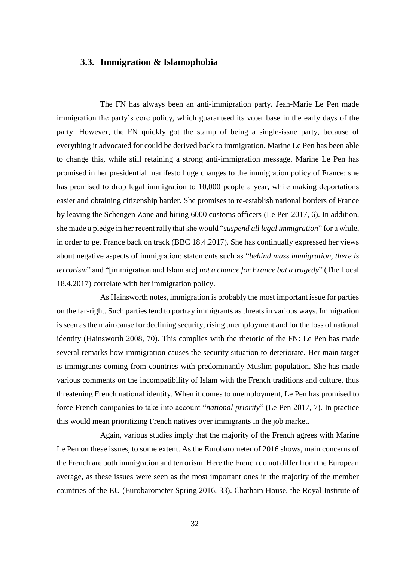### **3.3. Immigration & Islamophobia**

The FN has always been an anti-immigration party. Jean-Marie Le Pen made immigration the party's core policy, which guaranteed its voter base in the early days of the party. However, the FN quickly got the stamp of being a single-issue party, because of everything it advocated for could be derived back to immigration. Marine Le Pen has been able to change this, while still retaining a strong anti-immigration message. Marine Le Pen has promised in her presidential manifesto huge changes to the immigration policy of France: she has promised to drop legal immigration to 10,000 people a year, while making deportations easier and obtaining citizenship harder. She promises to re-establish national borders of France by leaving the Schengen Zone and hiring 6000 customs officers (Le Pen 2017, 6). In addition, she made a pledge in her recent rally that she would "*suspend all legal immigration*" for a while, in order to get France back on track (BBC 18.4.2017). She has continually expressed her views about negative aspects of immigration: statements such as "*behind mass immigration, there is terrorism*" and "[immigration and Islam are] *not a chance for France but a tragedy*" (The Local 18.4.2017) correlate with her immigration policy.

As Hainsworth notes, immigration is probably the most important issue for parties on the far-right. Such parties tend to portray immigrants as threats in various ways. Immigration is seen as the main cause for declining security, rising unemployment and for the loss of national identity (Hainsworth 2008, 70). This complies with the rhetoric of the FN: Le Pen has made several remarks how immigration causes the security situation to deteriorate. Her main target is immigrants coming from countries with predominantly Muslim population. She has made various comments on the incompatibility of Islam with the French traditions and culture, thus threatening French national identity. When it comes to unemployment, Le Pen has promised to force French companies to take into account "*national priority*" (Le Pen 2017, 7). In practice this would mean prioritizing French natives over immigrants in the job market.

Again, various studies imply that the majority of the French agrees with Marine Le Pen on these issues, to some extent. As the Eurobarometer of 2016 shows, main concerns of the French are both immigration and terrorism. Here the French do not differ from the European average, as these issues were seen as the most important ones in the majority of the member countries of the EU (Eurobarometer Spring 2016, 33). Chatham House, the Royal Institute of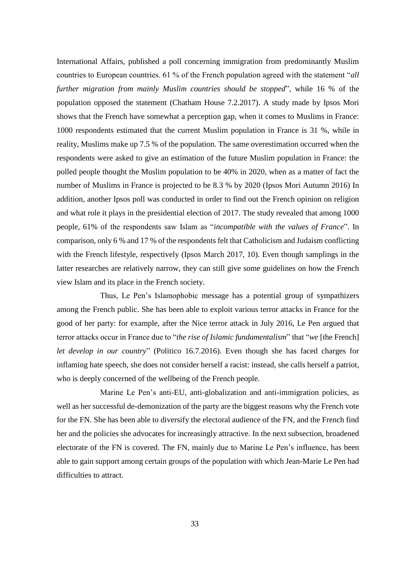International Affairs, published a poll concerning immigration from predominantly Muslim countries to European countries. 61 % of the French population agreed with the statement "*all further migration from mainly Muslim countries should be stopped*", while 16 % of the population opposed the statement (Chatham House 7.2.2017). A study made by Ipsos Mori shows that the French have somewhat a perception gap, when it comes to Muslims in France: 1000 respondents estimated that the current Muslim population in France is 31 %, while in reality, Muslims make up 7.5 % of the population. The same overestimation occurred when the respondents were asked to give an estimation of the future Muslim population in France: the polled people thought the Muslim population to be 40% in 2020, when as a matter of fact the number of Muslims in France is projected to be 8.3 % by 2020 (Ipsos Mori Autumn 2016) In addition, another Ipsos poll was conducted in order to find out the French opinion on religion and what role it plays in the presidential election of 2017. The study revealed that among 1000 people, 61% of the respondents saw Islam as "*incompatible with the values of France*". In comparison, only 6 % and 17 % of the respondents felt that Catholicism and Judaism conflicting with the French lifestyle, respectively (Ipsos March 2017, 10). Even though samplings in the latter researches are relatively narrow, they can still give some guidelines on how the French view Islam and its place in the French society.

Thus, Le Pen's Islamophobic message has a potential group of sympathizers among the French public. She has been able to exploit various terror attacks in France for the good of her party: for example, after the Nice terror attack in July 2016, Le Pen argued that terror attacks occur in France due to "*the rise of Islamic fundamentalism*" that "*we* [the French] *let develop in our country*" (Politico 16.7.2016). Even though she has faced charges for inflaming hate speech, she does not consider herself a racist: instead, she calls herself a patriot, who is deeply concerned of the wellbeing of the French people.

Marine Le Pen's anti-EU, anti-globalization and anti-immigration policies, as well as her successful de-demonization of the party are the biggest reasons why the French vote for the FN. She has been able to diversify the electoral audience of the FN, and the French find her and the policies she advocates for increasingly attractive. In the next subsection, broadened electorate of the FN is covered. The FN, mainly due to Marine Le Pen's influence, has been able to gain support among certain groups of the population with which Jean-Marie Le Pen had difficulties to attract.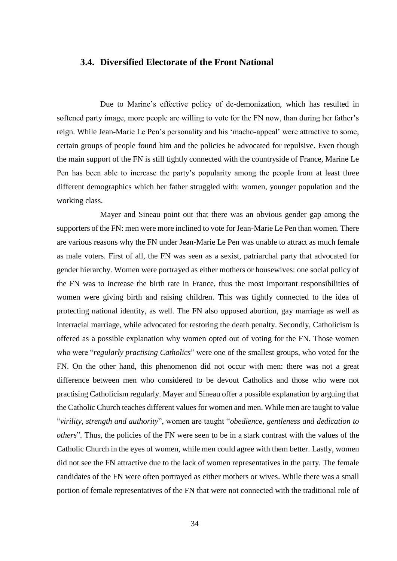### **3.4. Diversified Electorate of the Front National**

Due to Marine's effective policy of de-demonization, which has resulted in softened party image, more people are willing to vote for the FN now, than during her father's reign. While Jean-Marie Le Pen's personality and his 'macho-appeal' were attractive to some, certain groups of people found him and the policies he advocated for repulsive. Even though the main support of the FN is still tightly connected with the countryside of France, Marine Le Pen has been able to increase the party's popularity among the people from at least three different demographics which her father struggled with: women, younger population and the working class.

Mayer and Sineau point out that there was an obvious gender gap among the supporters of the FN: men were more inclined to vote for Jean-Marie Le Pen than women. There are various reasons why the FN under Jean-Marie Le Pen was unable to attract as much female as male voters. First of all, the FN was seen as a sexist, patriarchal party that advocated for gender hierarchy. Women were portrayed as either mothers or housewives: one social policy of the FN was to increase the birth rate in France, thus the most important responsibilities of women were giving birth and raising children. This was tightly connected to the idea of protecting national identity, as well. The FN also opposed abortion, gay marriage as well as interracial marriage, while advocated for restoring the death penalty. Secondly, Catholicism is offered as a possible explanation why women opted out of voting for the FN. Those women who were "*regularly practising Catholics*" were one of the smallest groups, who voted for the FN. On the other hand, this phenomenon did not occur with men: there was not a great difference between men who considered to be devout Catholics and those who were not practising Catholicism regularly. Mayer and Sineau offer a possible explanation by arguing that the Catholic Church teaches different values for women and men. While men are taught to value "*virility, strength and authority*", women are taught "*obedience, gentleness and dedication to others*"*.* Thus, the policies of the FN were seen to be in a stark contrast with the values of the Catholic Church in the eyes of women, while men could agree with them better. Lastly, women did not see the FN attractive due to the lack of women representatives in the party. The female candidates of the FN were often portrayed as either mothers or wives. While there was a small portion of female representatives of the FN that were not connected with the traditional role of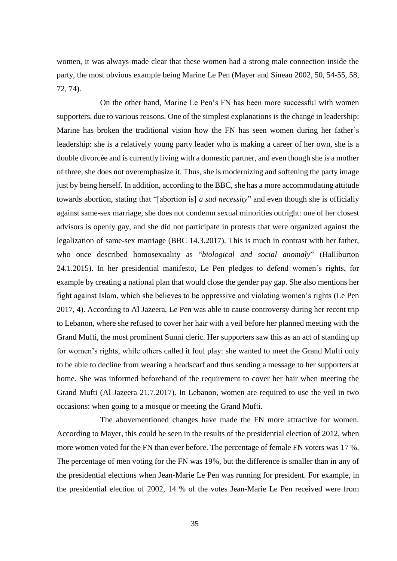women, it was always made clear that these women had a strong male connection inside the party, the most obvious example being Marine Le Pen (Mayer and Sineau 2002, 50, 54-55, 58, 72, 74).

On the other hand, Marine Le Pen's FN has been more successful with women supporters, due to various reasons. One of the simplest explanations is the change in leadership: Marine has broken the traditional vision how the FN has seen women during her father's leadership: she is a relatively young party leader who is making a career of her own, she is a double divorcée and is currently living with a domestic partner, and even though she is a mother of three, she does not overemphasize it. Thus, she is modernizing and softening the party image just by being herself. In addition, according to the BBC, she has a more accommodating attitude towards abortion, stating that "[abortion is] *a sad necessity*" and even though she is officially against same-sex marriage, she does not condemn sexual minorities outright: one of her closest advisors is openly gay, and she did not participate in protests that were organized against the legalization of same-sex marriage (BBC 14.3.2017). This is much in contrast with her father, who once described homosexuality as "*biological and social anomaly*" (Halliburton 24.1.2015). In her presidential manifesto, Le Pen pledges to defend women's rights, for example by creating a national plan that would close the gender pay gap. She also mentions her fight against Islam, which she believes to be oppressive and violating women's rights (Le Pen 2017, 4). According to Al Jazeera, Le Pen was able to cause controversy during her recent trip to Lebanon, where she refused to cover her hair with a veil before her planned meeting with the Grand Mufti, the most prominent Sunni cleric. Her supporters saw this as an act of standing up for women's rights, while others called it foul play: she wanted to meet the Grand Mufti only to be able to decline from wearing a headscarf and thus sending a message to her supporters at home. She was informed beforehand of the requirement to cover her hair when meeting the Grand Mufti (Al Jazeera 21.7.2017). In Lebanon, women are required to use the veil in two occasions: when going to a mosque or meeting the Grand Mufti.

The abovementioned changes have made the FN more attractive for women. According to Mayer, this could be seen in the results of the presidential election of 2012, when more women voted for the FN than ever before. The percentage of female FN voters was 17 %. The percentage of men voting for the FN was 19%, but the difference is smaller than in any of the presidential elections when Jean-Marie Le Pen was running for president. For example, in the presidential election of 2002, 14 % of the votes Jean-Marie Le Pen received were from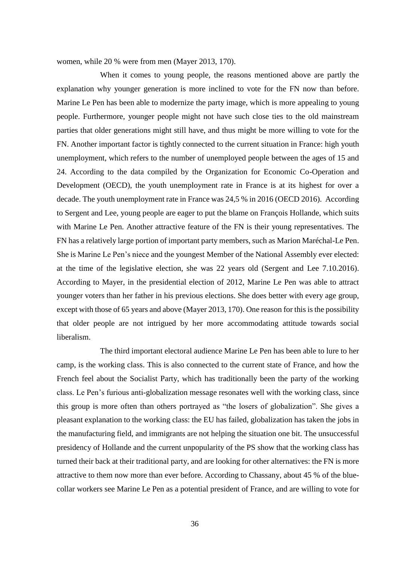women, while 20 % were from men (Mayer 2013, 170).

When it comes to young people, the reasons mentioned above are partly the explanation why younger generation is more inclined to vote for the FN now than before. Marine Le Pen has been able to modernize the party image, which is more appealing to young people. Furthermore, younger people might not have such close ties to the old mainstream parties that older generations might still have, and thus might be more willing to vote for the FN. Another important factor is tightly connected to the current situation in France: high youth unemployment, which refers to the number of unemployed people between the ages of 15 and 24. According to the data compiled by the Organization for Economic Co-Operation and Development (OECD), the youth unemployment rate in France is at its highest for over a decade. The youth unemployment rate in France was 24,5 % in 2016 (OECD 2016). According to Sergent and Lee, young people are eager to put the blame on François Hollande, which suits with Marine Le Pen. Another attractive feature of the FN is their young representatives. The FN has a relatively large portion of important party members, such as Marion Maréchal-Le Pen. She is Marine Le Pen's niece and the youngest Member of the National Assembly ever elected: at the time of the legislative election, she was 22 years old (Sergent and Lee 7.10.2016). According to Mayer, in the presidential election of 2012, Marine Le Pen was able to attract younger voters than her father in his previous elections. She does better with every age group, except with those of 65 years and above (Mayer 2013, 170). One reason for this is the possibility that older people are not intrigued by her more accommodating attitude towards social liberalism.

The third important electoral audience Marine Le Pen has been able to lure to her camp, is the working class. This is also connected to the current state of France, and how the French feel about the Socialist Party, which has traditionally been the party of the working class. Le Pen's furious anti-globalization message resonates well with the working class, since this group is more often than others portrayed as "the losers of globalization". She gives a pleasant explanation to the working class: the EU has failed, globalization has taken the jobs in the manufacturing field, and immigrants are not helping the situation one bit. The unsuccessful presidency of Hollande and the current unpopularity of the PS show that the working class has turned their back at their traditional party, and are looking for other alternatives: the FN is more attractive to them now more than ever before. According to Chassany, about 45 % of the bluecollar workers see Marine Le Pen as a potential president of France, and are willing to vote for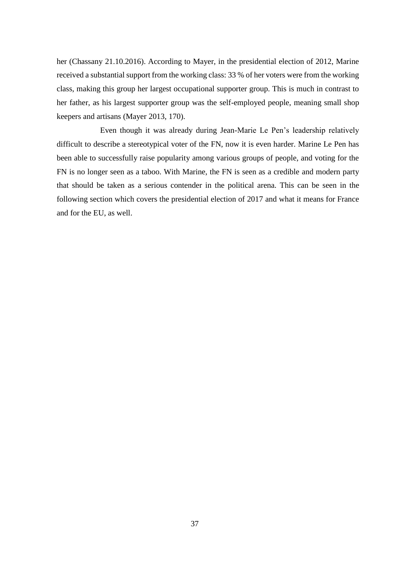her (Chassany 21.10.2016). According to Mayer, in the presidential election of 2012, Marine received a substantial support from the working class: 33 % of her voters were from the working class, making this group her largest occupational supporter group. This is much in contrast to her father, as his largest supporter group was the self-employed people, meaning small shop keepers and artisans (Mayer 2013, 170).

Even though it was already during Jean-Marie Le Pen's leadership relatively difficult to describe a stereotypical voter of the FN, now it is even harder. Marine Le Pen has been able to successfully raise popularity among various groups of people, and voting for the FN is no longer seen as a taboo. With Marine, the FN is seen as a credible and modern party that should be taken as a serious contender in the political arena. This can be seen in the following section which covers the presidential election of 2017 and what it means for France and for the EU, as well.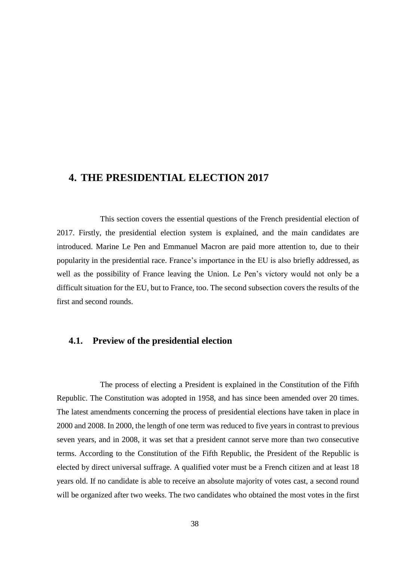### **4. THE PRESIDENTIAL ELECTION 2017**

This section covers the essential questions of the French presidential election of 2017. Firstly, the presidential election system is explained, and the main candidates are introduced. Marine Le Pen and Emmanuel Macron are paid more attention to, due to their popularity in the presidential race. France's importance in the EU is also briefly addressed, as well as the possibility of France leaving the Union. Le Pen's victory would not only be a difficult situation for the EU, but to France, too. The second subsection covers the results of the first and second rounds.

### **4.1. Preview of the presidential election**

The process of electing a President is explained in the Constitution of the Fifth Republic. The Constitution was adopted in 1958, and has since been amended over 20 times. The latest amendments concerning the process of presidential elections have taken in place in 2000 and 2008. In 2000, the length of one term was reduced to five years in contrast to previous seven years, and in 2008, it was set that a president cannot serve more than two consecutive terms. According to the Constitution of the Fifth Republic, the President of the Republic is elected by direct universal suffrage. A qualified voter must be a French citizen and at least 18 years old. If no candidate is able to receive an absolute majority of votes cast, a second round will be organized after two weeks. The two candidates who obtained the most votes in the first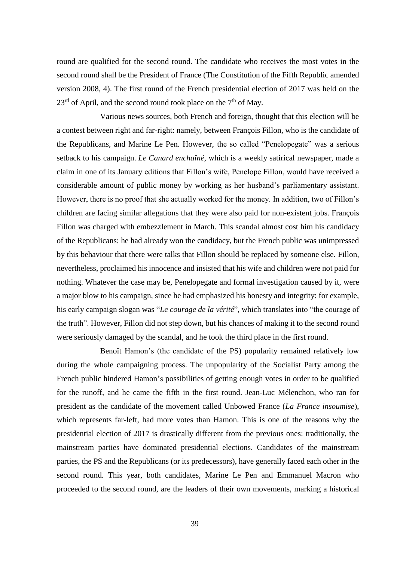round are qualified for the second round. The candidate who receives the most votes in the second round shall be the President of France (The Constitution of the Fifth Republic amended version 2008, 4). The first round of the French presidential election of 2017 was held on the  $23<sup>rd</sup>$  of April, and the second round took place on the  $7<sup>th</sup>$  of May.

Various news sources, both French and foreign, thought that this election will be a contest between right and far-right: namely, between François Fillon, who is the candidate of the Republicans, and Marine Le Pen. However, the so called "Penelopegate" was a serious setback to his campaign. *Le Canard enchaîné*, which is a weekly satirical newspaper, made a claim in one of its January editions that Fillon's wife, Penelope Fillon, would have received a considerable amount of public money by working as her husband's parliamentary assistant. However, there is no proof that she actually worked for the money. In addition, two of Fillon's children are facing similar allegations that they were also paid for non-existent jobs. François Fillon was charged with embezzlement in March. This scandal almost cost him his candidacy of the Republicans: he had already won the candidacy, but the French public was unimpressed by this behaviour that there were talks that Fillon should be replaced by someone else. Fillon, nevertheless, proclaimed his innocence and insisted that his wife and children were not paid for nothing. Whatever the case may be, Penelopegate and formal investigation caused by it, were a major blow to his campaign, since he had emphasized his honesty and integrity: for example, his early campaign slogan was "*Le courage de la vérité*", which translates into "the courage of the truth". However, Fillon did not step down, but his chances of making it to the second round were seriously damaged by the scandal, and he took the third place in the first round.

Benoît Hamon's (the candidate of the PS) popularity remained relatively low during the whole campaigning process. The unpopularity of the Socialist Party among the French public hindered Hamon's possibilities of getting enough votes in order to be qualified for the runoff, and he came the fifth in the first round. Jean-Luc Mélenchon, who ran for president as the candidate of the movement called Unbowed France (*La France insoumise*), which represents far-left, had more votes than Hamon. This is one of the reasons why the presidential election of 2017 is drastically different from the previous ones: traditionally, the mainstream parties have dominated presidential elections. Candidates of the mainstream parties, the PS and the Republicans (or its predecessors), have generally faced each other in the second round. This year, both candidates, Marine Le Pen and Emmanuel Macron who proceeded to the second round, are the leaders of their own movements, marking a historical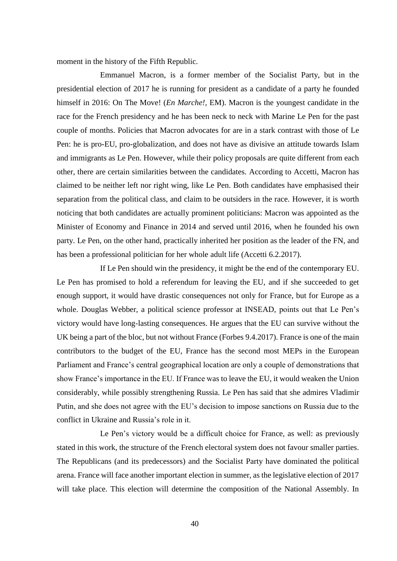moment in the history of the Fifth Republic.

Emmanuel Macron, is a former member of the Socialist Party, but in the presidential election of 2017 he is running for president as a candidate of a party he founded himself in 2016: On The Move! (*En Marche!,* EM). Macron is the youngest candidate in the race for the French presidency and he has been neck to neck with Marine Le Pen for the past couple of months. Policies that Macron advocates for are in a stark contrast with those of Le Pen: he is pro-EU, pro-globalization, and does not have as divisive an attitude towards Islam and immigrants as Le Pen. However, while their policy proposals are quite different from each other, there are certain similarities between the candidates. According to Accetti, Macron has claimed to be neither left nor right wing, like Le Pen. Both candidates have emphasised their separation from the political class, and claim to be outsiders in the race. However, it is worth noticing that both candidates are actually prominent politicians: Macron was appointed as the Minister of Economy and Finance in 2014 and served until 2016, when he founded his own party. Le Pen, on the other hand, practically inherited her position as the leader of the FN, and has been a professional politician for her whole adult life (Accetti 6.2.2017).

If Le Pen should win the presidency, it might be the end of the contemporary EU. Le Pen has promised to hold a referendum for leaving the EU, and if she succeeded to get enough support, it would have drastic consequences not only for France, but for Europe as a whole. Douglas Webber, a political science professor at INSEAD, points out that Le Pen's victory would have long-lasting consequences. He argues that the EU can survive without the UK being a part of the bloc, but not without France (Forbes 9.4.2017). France is one of the main contributors to the budget of the EU, France has the second most MEPs in the European Parliament and France's central geographical location are only a couple of demonstrations that show France's importance in the EU. If France was to leave the EU, it would weaken the Union considerably, while possibly strengthening Russia. Le Pen has said that she admires Vladimir Putin, and she does not agree with the EU's decision to impose sanctions on Russia due to the conflict in Ukraine and Russia's role in it.

Le Pen's victory would be a difficult choice for France, as well: as previously stated in this work, the structure of the French electoral system does not favour smaller parties. The Republicans (and its predecessors) and the Socialist Party have dominated the political arena. France will face another important election in summer, as the legislative election of 2017 will take place. This election will determine the composition of the National Assembly. In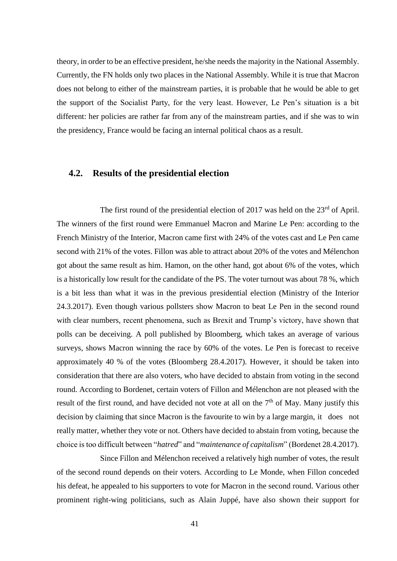theory, in order to be an effective president, he/she needs the majority in the National Assembly. Currently, the FN holds only two places in the National Assembly. While it is true that Macron does not belong to either of the mainstream parties, it is probable that he would be able to get the support of the Socialist Party, for the very least. However, Le Pen's situation is a bit different: her policies are rather far from any of the mainstream parties, and if she was to win the presidency, France would be facing an internal political chaos as a result.

### **4.2. Results of the presidential election**

The first round of the presidential election of 2017 was held on the  $23<sup>rd</sup>$  of April. The winners of the first round were Emmanuel Macron and Marine Le Pen: according to the French Ministry of the Interior, Macron came first with 24% of the votes cast and Le Pen came second with 21% of the votes. Fillon was able to attract about 20% of the votes and Mélenchon got about the same result as him. Hamon, on the other hand, got about 6% of the votes, which is a historically low result for the candidate of the PS. The voter turnout was about 78 %, which is a bit less than what it was in the previous presidential election (Ministry of the Interior 24.3.2017). Even though various pollsters show Macron to beat Le Pen in the second round with clear numbers, recent phenomena, such as Brexit and Trump's victory, have shown that polls can be deceiving. A poll published by Bloomberg, which takes an average of various surveys, shows Macron winning the race by 60% of the votes. Le Pen is forecast to receive approximately 40 % of the votes (Bloomberg 28.4.2017). However, it should be taken into consideration that there are also voters, who have decided to abstain from voting in the second round. According to Bordenet, certain voters of Fillon and Mélenchon are not pleased with the result of the first round, and have decided not vote at all on the  $7<sup>th</sup>$  of May. Many justify this decision by claiming that since Macron is the favourite to win by a large margin, it does not really matter, whether they vote or not. Others have decided to abstain from voting, because the choice is too difficult between "*hatred*" and "*maintenance of capitalism*" (Bordenet 28.4.2017).

Since Fillon and Mélenchon received a relatively high number of votes, the result of the second round depends on their voters. According to Le Monde, when Fillon conceded his defeat, he appealed to his supporters to vote for Macron in the second round. Various other prominent right-wing politicians, such as Alain Juppé, have also shown their support for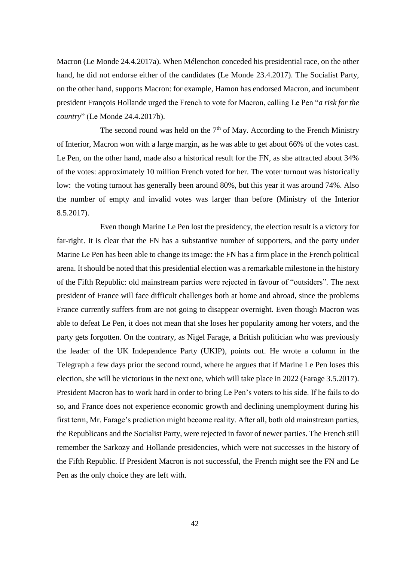Macron (Le Monde 24.4.2017a). When Mélenchon conceded his presidential race, on the other hand, he did not endorse either of the candidates (Le Monde 23.4.2017). The Socialist Party, on the other hand, supports Macron: for example, Hamon has endorsed Macron, and incumbent president François Hollande urged the French to vote for Macron, calling Le Pen "*a risk for the country*" (Le Monde 24.4.2017b).

The second round was held on the  $7<sup>th</sup>$  of May. According to the French Ministry of Interior, Macron won with a large margin, as he was able to get about 66% of the votes cast. Le Pen, on the other hand, made also a historical result for the FN, as she attracted about 34% of the votes: approximately 10 million French voted for her. The voter turnout was historically low: the voting turnout has generally been around 80%, but this year it was around 74%. Also the number of empty and invalid votes was larger than before (Ministry of the Interior 8.5.2017).

Even though Marine Le Pen lost the presidency, the election result is a victory for far-right. It is clear that the FN has a substantive number of supporters, and the party under Marine Le Pen has been able to change its image: the FN has a firm place in the French political arena. It should be noted that this presidential election was a remarkable milestone in the history of the Fifth Republic: old mainstream parties were rejected in favour of "outsiders". The next president of France will face difficult challenges both at home and abroad, since the problems France currently suffers from are not going to disappear overnight. Even though Macron was able to defeat Le Pen, it does not mean that she loses her popularity among her voters, and the party gets forgotten. On the contrary, as Nigel Farage, a British politician who was previously the leader of the UK Independence Party (UKIP), points out. He wrote a column in the Telegraph a few days prior the second round, where he argues that if Marine Le Pen loses this election, she will be victorious in the next one, which will take place in 2022 (Farage 3.5.2017). President Macron has to work hard in order to bring Le Pen's voters to his side. If he fails to do so, and France does not experience economic growth and declining unemployment during his first term, Mr. Farage's prediction might become reality. After all, both old mainstream parties, the Republicans and the Socialist Party, were rejected in favor of newer parties. The French still remember the Sarkozy and Hollande presidencies, which were not successes in the history of the Fifth Republic. If President Macron is not successful, the French might see the FN and Le Pen as the only choice they are left with.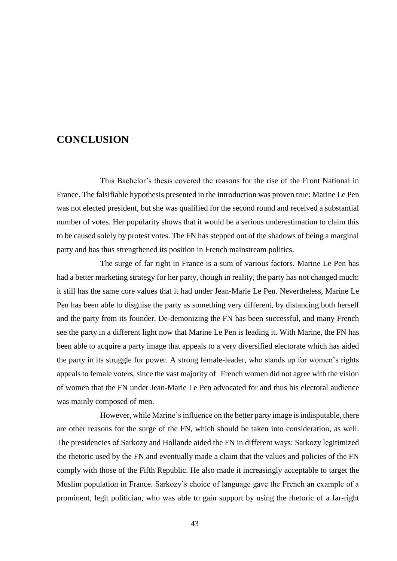### **CONCLUSION**

This Bachelor's thesis covered the reasons for the rise of the Front National in France. The falsifiable hypothesis presented in the introduction was proven true: Marine Le Pen was not elected president, but she was qualified for the second round and received a substantial number of votes. Her popularity shows that it would be a serious underestimation to claim this to be caused solely by protest votes. The FN has stepped out of the shadows of being a marginal party and has thus strengthened its position in French mainstream politics.

The surge of far right in France is a sum of various factors. Marine Le Pen has had a better marketing strategy for her party, though in reality, the party has not changed much: it still has the same core values that it had under Jean-Marie Le Pen. Nevertheless, Marine Le Pen has been able to disguise the party as something very different, by distancing both herself and the party from its founder. De-demonizing the FN has been successful, and many French see the party in a different light now that Marine Le Pen is leading it. With Marine, the FN has been able to acquire a party image that appeals to a very diversified electorate which has aided the party in its struggle for power. A strong female-leader, who stands up for women's rights appeals to female voters, since the vast majority of French women did not agree with the vision of women that the FN under Jean-Marie Le Pen advocated for and thus his electoral audience was mainly composed of men.

However, while Marine's influence on the better party image is indisputable, there are other reasons for the surge of the FN, which should be taken into consideration, as well. The presidencies of Sarkozy and Hollande aided the FN in different ways: Sarkozy legitimized the rhetoric used by the FN and eventually made a claim that the values and policies of the FN comply with those of the Fifth Republic. He also made it increasingly acceptable to target the Muslim population in France. Sarkozy's choice of language gave the French an example of a prominent, legit politician, who was able to gain support by using the rhetoric of a far-right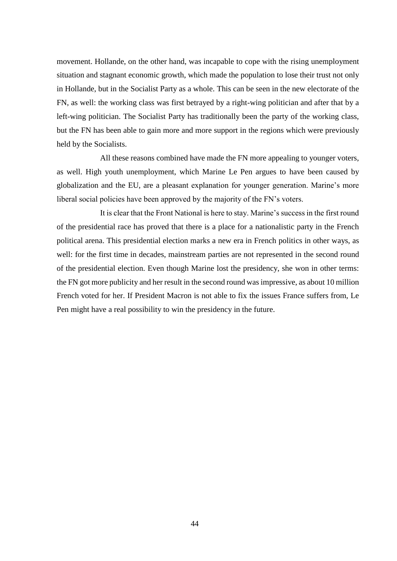movement. Hollande, on the other hand, was incapable to cope with the rising unemployment situation and stagnant economic growth, which made the population to lose their trust not only in Hollande, but in the Socialist Party as a whole. This can be seen in the new electorate of the FN, as well: the working class was first betrayed by a right-wing politician and after that by a left-wing politician. The Socialist Party has traditionally been the party of the working class, but the FN has been able to gain more and more support in the regions which were previously held by the Socialists.

All these reasons combined have made the FN more appealing to younger voters, as well. High youth unemployment, which Marine Le Pen argues to have been caused by globalization and the EU, are a pleasant explanation for younger generation. Marine's more liberal social policies have been approved by the majority of the FN's voters.

It is clear that the Front National is here to stay. Marine's success in the first round of the presidential race has proved that there is a place for a nationalistic party in the French political arena. This presidential election marks a new era in French politics in other ways, as well: for the first time in decades, mainstream parties are not represented in the second round of the presidential election. Even though Marine lost the presidency, she won in other terms: the FN got more publicity and her result in the second round was impressive, as about 10 million French voted for her. If President Macron is not able to fix the issues France suffers from, Le Pen might have a real possibility to win the presidency in the future.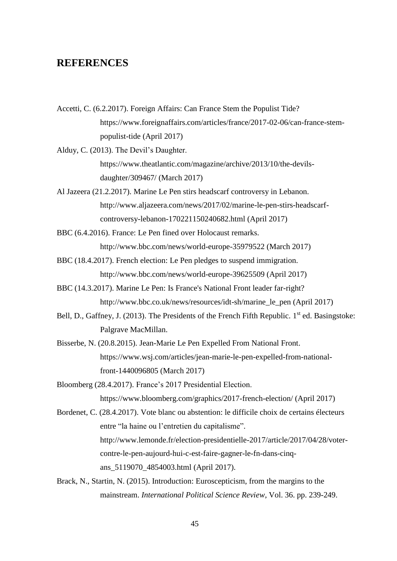### **REFERENCES**

Accetti, C. (6.2.2017). Foreign Affairs: Can France Stem the Populist Tide? https://www.foreignaffairs.com/articles/france/2017-02-06/can-france-stempopulist-tide (April 2017)

Alduy, C. (2013). The Devil's Daughter. https://www.theatlantic.com/magazine/archive/2013/10/the-devilsdaughter/309467/ (March 2017)

- Al Jazeera (21.2.2017). Marine Le Pen stirs headscarf controversy in Lebanon. http://www.aljazeera.com/news/2017/02/marine-le-pen-stirs-headscarfcontroversy-lebanon-170221150240682.html (April 2017)
- BBC (6.4.2016). France: Le Pen fined over Holocaust remarks. http://www.bbc.com/news/world-europe-35979522 (March 2017)
- BBC (18.4.2017). French election: Le Pen pledges to suspend immigration. http://www.bbc.com/news/world-europe-39625509 (April 2017)
- BBC (14.3.2017). Marine Le Pen: Is France's National Front leader far-right? http://www.bbc.co.uk/news/resources/idt-sh/marine\_le\_pen (April 2017)
- Bell, D., Gaffney, J. (2013). The Presidents of the French Fifth Republic. 1<sup>st</sup> ed. Basingstoke: Palgrave MacMillan.
- Bisserbe, N. (20.8.2015). Jean-Marie Le Pen Expelled From National Front. https://www.wsj.com/articles/jean-marie-le-pen-expelled-from-nationalfront-1440096805 (March 2017)
- Bloomberg (28.4.2017). France's 2017 Presidential Election. https://www.bloomberg.com/graphics/2017-french-election/ (April 2017)
- Bordenet, C. (28.4.2017). Vote blanc ou abstention: le difficile choix de certains électeurs entre "la haine ou l'entretien du capitalisme". http://www.lemonde.fr/election-presidentielle-2017/article/2017/04/28/votercontre-le-pen-aujourd-hui-c-est-faire-gagner-le-fn-dans-cinqans\_5119070\_4854003.html (April 2017).
- Brack, N., Startin, N. (2015). Introduction: Euroscepticism, from the margins to the mainstream. *International Political Science Review*, Vol. 36. pp. 239-249.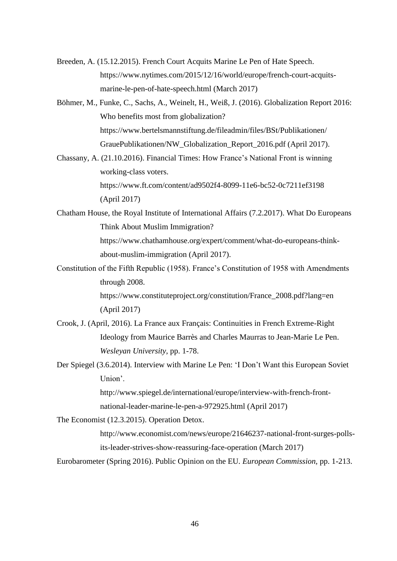- Breeden, A. (15.12.2015). French Court Acquits Marine Le Pen of Hate Speech. https://www.nytimes.com/2015/12/16/world/europe/french-court-acquitsmarine-le-pen-of-hate-speech.html (March 2017)
- Böhmer, M., Funke, C., Sachs, A., Weinelt, H., Weiß, J. (2016). Globalization Report 2016: Who benefits most from globalization? https://www.bertelsmannstiftung.de/fileadmin/files/BSt/Publikationen/ GrauePublikationen/NW\_Globalization\_Report\_2016.pdf (April 2017).
- Chassany, A. (21.10.2016). Financial Times: How France's National Front is winning working-class voters. https://www.ft.com/content/ad9502f4-8099-11e6-bc52-0c7211ef3198 (April 2017)
- Chatham House, the Royal Institute of International Affairs (7.2.2017). What Do Europeans Think About Muslim Immigration?

https://www.chathamhouse.org/expert/comment/what-do-europeans-thinkabout-muslim-immigration (April 2017).

Constitution of the Fifth Republic (1958). France's Constitution of 1958 with Amendments through 2008.

https://www.constituteproject.org/constitution/France\_2008.pdf?lang=en (April 2017)

- Crook, J. (April, 2016). La France aux Français: Continuities in French Extreme-Right Ideology from Maurice Barrès and Charles Maurras to Jean-Marie Le Pen. *Wesleyan University*, pp. 1-78.
- Der Spiegel (3.6.2014). Interview with Marine Le Pen: 'I Don't Want this European Soviet Union'.

http://www.spiegel.de/international/europe/interview-with-french-frontnational-leader-marine-le-pen-a-972925.html (April 2017)

The Economist (12.3.2015). Operation Detox.

http://www.economist.com/news/europe/21646237-national-front-surges-pollsits-leader-strives-show-reassuring-face-operation (March 2017)

Eurobarometer (Spring 2016). Public Opinion on the EU. *European Commission,* pp. 1-213.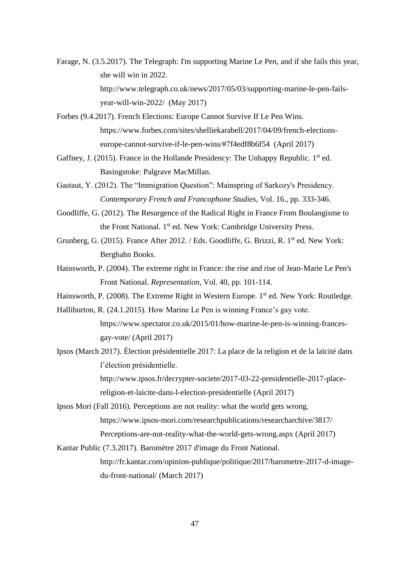- Farage, N. (3.5.2017). The Telegraph: I'm supporting Marine Le Pen, and if she fails this year, she will win in 2022. http://www.telegraph.co.uk/news/2017/05/03/supporting-marine-le-pen-failsyear-will-win-2022/ (May 2017)
- Forbes (9.4.2017). French Elections: Europe Cannot Survive If Le Pen Wins. https://www.forbes.com/sites/shelliekarabell/2017/04/09/french-electionseurope-cannot-survive-if-le-pen-wins/#7f4edf8b6f54 (April 2017)
- Gaffney, J. (2015). France in the Hollande Presidency: The Unhappy Republic.  $1<sup>st</sup>$  ed. Basingstoke: Palgrave MacMillan.
- Gastaut, Y. (2012). The "Immigration Question": Mainspring of Sarkozy's Presidency. *Contemporary French and Francophone Studies*, Vol. 16., pp. 333-346.
- Goodliffe, G. (2012). The Resurgence of the Radical Right in France From Boulangisme to the Front National. 1<sup>st</sup> ed. New York: Cambridge University Press.
- Grunberg, G. (2015). France After 2012. / Eds. Goodliffe, G. Brizzi, R. 1<sup>st</sup> ed. New York: Berghahn Books.
- Hainsworth, P. (2004). The extreme right in France: the rise and rise of Jean-Marie Le Pen's Front National. *Representation*, Vol. 40, pp. 101-114.
- Hainsworth, P. (2008). The Extreme Right in Western Europe. 1<sup>st</sup> ed. New York: Routledge.
- Halliburton, R. (24.1.2015). How Marine Le Pen is winning France's gay vote. https://www.spectator.co.uk/2015/01/how-marine-le-pen-is-winning-francesgay-vote/ (April 2017)
- Ipsos (March 2017). Élection présidentielle 2017: La place de la religion et de la laïcité dans l'élection présidentielle.

http://www.ipsos.fr/decrypter-societe/2017-03-22-presidentielle-2017-placereligion-et-laicite-dans-l-election-presidentielle (April 2017)

- Ipsos Mori (Fall 2016). Perceptions are not reality: what the world gets wrong. https://www.ipsos-mori.com/researchpublications/researcharchive/3817/ Perceptions-are-not-reality-what-the-world-gets-wrong.aspx (April 2017)
- Kantar Public (7.3.2017). Baromètre 2017 d'image du Front National. http://fr.kantar.com/opinion-publique/politique/2017/barometre-2017-d-imagedu-front-national/ (March 2017)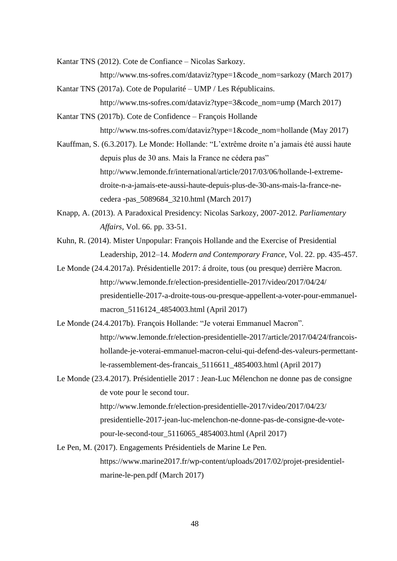Kantar TNS (2012). Cote de Confiance – Nicolas Sarkozy.

http://www.tns-sofres.com/dataviz?type=1&code\_nom=sarkozy (March 2017)

- Kantar TNS (2017a). Cote de Popularité UMP / Les Républicains. http://www.tns-sofres.com/dataviz?type=3&code\_nom=ump (March 2017)
- Kantar TNS (2017b). Cote de Confidence François Hollande http://www.tns-sofres.com/dataviz?type=1&code\_nom=hollande (May 2017)
- Kauffman, S. (6.3.2017). Le Monde: Hollande: "L'extrême droite n'a jamais été aussi haute depuis plus de 30 ans. Mais la France ne cédera pas" http://www.lemonde.fr/international/article/2017/03/06/hollande-l-extremedroite-n-a-jamais-ete-aussi-haute-depuis-plus-de-30-ans-mais-la-france-necedera -pas\_5089684\_3210.html (March 2017)
- Knapp, A. (2013). A Paradoxical Presidency: Nicolas Sarkozy, 2007-2012. *Parliamentary Affairs*, Vol. 66. pp. 33-51.
- Kuhn, R. (2014). Mister Unpopular: François Hollande and the Exercise of Presidential Leadership, 2012–14. *Modern and Contemporary France*, Vol. 22. pp. 435-457.
- Le Monde (24.4.2017a). Présidentielle 2017: á droite, tous (ou presque) derrière Macron. http://www.lemonde.fr/election-presidentielle-2017/video/2017/04/24/ presidentielle-2017-a-droite-tous-ou-presque-appellent-a-voter-pour-emmanuelmacron\_5116124\_4854003.html (April 2017)
- Le Monde (24.4.2017b). François Hollande: "Je voterai Emmanuel Macron". http://www.lemonde.fr/election-presidentielle-2017/article/2017/04/24/francoishollande-je-voterai-emmanuel-macron-celui-qui-defend-des-valeurs-permettantle-rassemblement-des-francais\_5116611\_4854003.html (April 2017)
- Le Monde (23.4.2017). Présidentielle 2017 : Jean-Luc Mélenchon ne donne pas de consigne de vote pour le second tour.

http://www.lemonde.fr/election-presidentielle-2017/video/2017/04/23/ presidentielle-2017-jean-luc-melenchon-ne-donne-pas-de-consigne-de-votepour-le-second-tour\_5116065\_4854003.html (April 2017)

Le Pen, M. (2017). Engagements Présidentiels de Marine Le Pen. https://www.marine2017.fr/wp-content/uploads/2017/02/projet-presidentielmarine-le-pen.pdf (March 2017)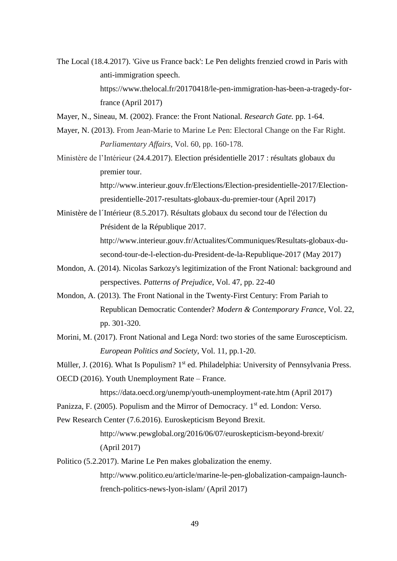- The Local (18.4.2017). 'Give us France back': Le Pen delights frenzied crowd in Paris with anti-immigration speech. https://www.thelocal.fr/20170418/le-pen-immigration-has-been-a-tragedy-forfrance (April 2017)
- Mayer, N., Sineau, M. (2002). France: the Front National. *Research Gate.* pp. 1-64.
- Mayer, N. (2013). From Jean-Marie to Marine Le Pen: Electoral Change on the Far Right. *Parliamentary Affairs*, Vol. 60, pp. 160-178.
- Ministère de l'Intérieur (24.4.2017). Election présidentielle 2017 : résultats globaux du premier tour.

http://www.interieur.gouv.fr/Elections/Election-presidentielle-2017/Electionpresidentielle-2017-resultats-globaux-du-premier-tour (April 2017)

Ministère de l´Intérieur (8.5.2017). Résultats globaux du second tour de l'élection du Président de la République 2017. http://www.interieur.gouv.fr/Actualites/Communiques/Resultats-globaux-du-

second-tour-de-l-election-du-President-de-la-Republique-2017 (May 2017)

- Mondon, A. (2014). Nicolas Sarkozy's legitimization of the Front National: background and perspectives. *Patterns of Prejudice*, Vol. 47, pp. 22-40
- Mondon, A. (2013). The Front National in the Twenty-First Century: From Pariah to Republican Democratic Contender? *Modern & Contemporary France*, Vol. 22, pp. 301-320.
- Morini, M. (2017). Front National and Lega Nord: two stories of the same Euroscepticism. *European Politics and Society*, Vol. 11, pp.1-20.
- Müller, J. (2016). What Is Populism? 1<sup>st</sup> ed. Philadelphia: University of Pennsylvania Press.
- OECD (2016). Youth Unemployment Rate France.

https://data.oecd.org/unemp/youth-unemployment-rate.htm (April 2017)

- Panizza, F. (2005). Populism and the Mirror of Democracy. 1<sup>st</sup> ed. London: Verso.
- Pew Research Center (7.6.2016). Euroskepticism Beyond Brexit.

http://www.pewglobal.org/2016/06/07/euroskepticism-beyond-brexit/ (April 2017)

Politico (5.2.2017). Marine Le Pen makes globalization the enemy. http://www.politico.eu/article/marine-le-pen-globalization-campaign-launchfrench-politics-news-lyon-islam/ (April 2017)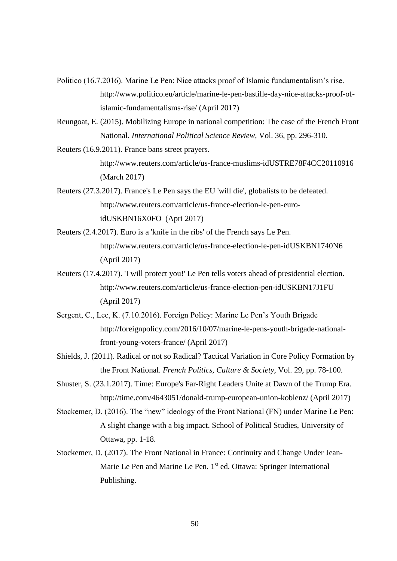- Politico (16.7.2016). Marine Le Pen: Nice attacks proof of Islamic fundamentalism's rise. http://www.politico.eu/article/marine-le-pen-bastille-day-nice-attacks-proof-ofislamic-fundamentalisms-rise/ (April 2017)
- Reungoat, E. (2015). Mobilizing Europe in national competition: The case of the French Front National. *International Political Science Review*, Vol. 36, pp. 296-310.
- Reuters (16.9.2011). France bans street prayers. http://www.reuters.com/article/us-france-muslims-idUSTRE78F4CC20110916 (March 2017)
- Reuters (27.3.2017). France's Le Pen says the EU 'will die', globalists to be defeated. http://www.reuters.com/article/us-france-election-le-pen-euroidUSKBN16X0FO (Apri 2017)
- Reuters (2.4.2017). Euro is a 'knife in the ribs' of the French says Le Pen. http://www.reuters.com/article/us-france-election-le-pen-idUSKBN1740N6 (April 2017)
- Reuters (17.4.2017). 'I will protect you!' Le Pen tells voters ahead of presidential election. http://www.reuters.com/article/us-france-election-pen-idUSKBN17J1FU (April 2017)
- Sergent, C., Lee, K. (7.10.2016). Foreign Policy: Marine Le Pen's Youth Brigade http://foreignpolicy.com/2016/10/07/marine-le-pens-youth-brigade-nationalfront-young-voters-france/ (April 2017)
- Shields, J. (2011). Radical or not so Radical? Tactical Variation in Core Policy Formation by the Front National. *French Politics, Culture & Society*, Vol. 29, pp. 78-100.
- Shuster, S. (23.1.2017). Time: Europe's Far-Right Leaders Unite at Dawn of the Trump Era. http://time.com/4643051/donald-trump-european-union-koblenz/ (April 2017)
- Stockemer, D. (2016). The "new" ideology of the Front National (FN) under Marine Le Pen: A slight change with a big impact. School of Political Studies, University of Ottawa, pp. 1-18.
- Stockemer, D. (2017). The Front National in France: Continuity and Change Under Jean-Marie Le Pen and Marine Le Pen. 1<sup>st</sup> ed. Ottawa: Springer International Publishing.